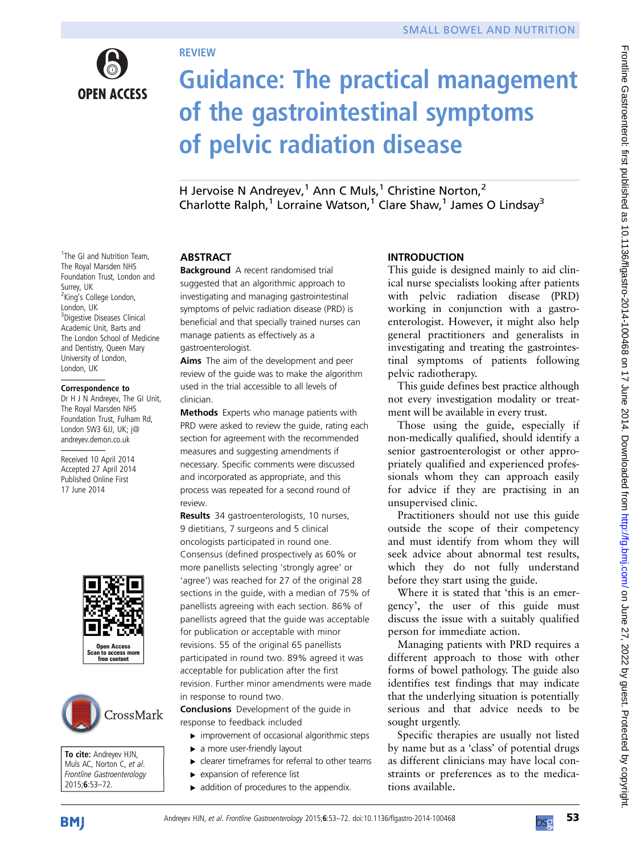

<sup>1</sup>The GI and Nutrition Team, The Royal Marsden NHS Foundation Trust, London and

<sup>2</sup>King's College London,

Correspondence to Dr H J N Andreyev, The GI Unit, The Royal Marsden NHS Foundation Trust, Fulham Rd, London SW3 6JJ, UK; j@ andreyev.demon.co.uk Received 10 April 2014 Accepted 27 April 2014 Published Online First 17 June 2014

<sup>3</sup>Digestive Diseases Clinical Academic Unit, Barts and The London School of Medicine and Dentistry, Queen Mary University of London, London, UK

Surrey, UK

London, UK

# Guidance: The practical management of the gastrointestinal symptoms of pelvic radiation disease

H Jervoise N Andreyev,<sup>1</sup> Ann C Muls,<sup>1</sup> Christine Norton,<sup>2</sup> Charlotte Ralph,<sup>1</sup> Lorraine Watson,<sup>1</sup> Clare Shaw,<sup>1</sup> James O Lindsay<sup>3</sup>

#### ABSTRACT

**REVIEW** 

Background A recent randomised trial suggested that an algorithmic approach to investigating and managing gastrointestinal symptoms of pelvic radiation disease (PRD) is beneficial and that specially trained nurses can manage patients as effectively as a gastroenterologist.

Aims The aim of the development and peer review of the guide was to make the algorithm used in the trial accessible to all levels of clinician.

Methods Experts who manage patients with PRD were asked to review the guide, rating each section for agreement with the recommended measures and suggesting amendments if necessary. Specific comments were discussed and incorporated as appropriate, and this process was repeated for a second round of review.

Results 34 gastroenterologists, 10 nurses, 9 dietitians, 7 surgeons and 5 clinical oncologists participated in round one. Consensus (defined prospectively as 60% or more panellists selecting 'strongly agree' or 'agree') was reached for 27 of the original 28 sections in the guide, with a median of 75% of panellists agreeing with each section. 86% of panellists agreed that the guide was acceptable for publication or acceptable with minor revisions. 55 of the original 65 panellists participated in round two. 89% agreed it was acceptable for publication after the first revision. Further minor amendments were made in response to round two.

Conclusions Development of the guide in response to feedback included

- $\triangleright$  improvement of occasional algorithmic steps
- ▶ a more user-friendly layout ▸ clearer timeframes for referral to other teams
- 
- ▸ expansion of reference list
- $\blacktriangleright$  addition of procedures to the appendix.

# INTRODUCTION

This guide is designed mainly to aid clinical nurse specialists looking after patients with pelvic radiation disease (PRD) working in conjunction with a gastroenterologist. However, it might also help general practitioners and generalists in investigating and treating the gastrointestinal symptoms of patients following pelvic radiotherapy.

This guide defines best practice although not every investigation modality or treatment will be available in every trust.

Those using the guide, especially if non-medically qualified, should identify a senior gastroenterologist or other appropriately qualified and experienced professionals whom they can approach easily for advice if they are practising in an unsupervised clinic.

Practitioners should not use this guide outside the scope of their competency and must identify from whom they will seek advice about abnormal test results, which they do not fully understand before they start using the guide.

Where it is stated that 'this is an emergency', the user of this guide must discuss the issue with a suitably qualified person for immediate action.

Managing patients with PRD requires a different approach to those with other forms of bowel pathology. The guide also identifies test findings that may indicate that the underlying situation is potentially serious and that advice needs to be sought urgently.

Specific therapies are usually not listed by name but as a 'class' of potential drugs as different clinicians may have local constraints or preferences as to the medications available.



To cite: Andreyev HJN, Muls AC, Norton C, et al. Frontline Gastroenterology 2015;6:53–72.

Open Access Scan to access more free content

CrossMark

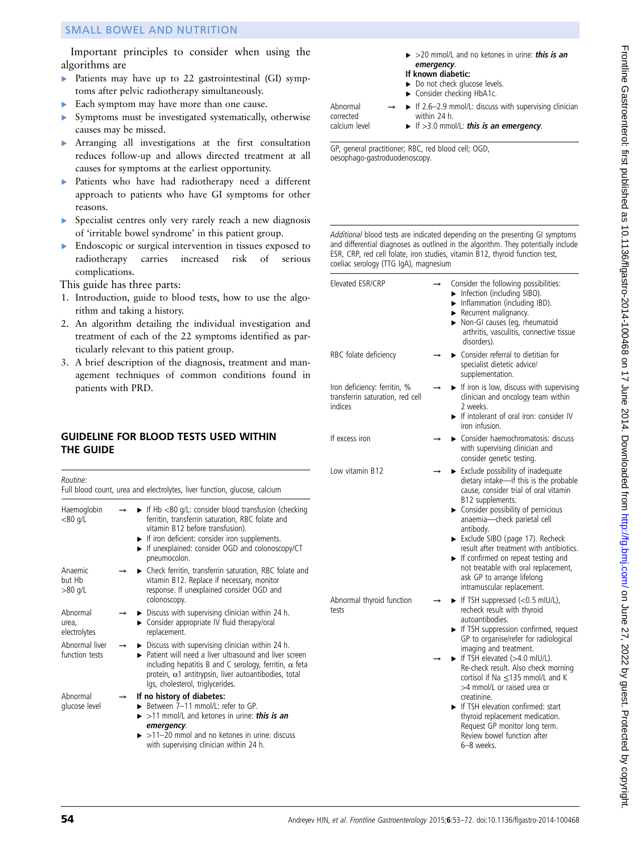Important principles to consider when using the algorithms are

- ▸ Patients may have up to 22 gastrointestinal (GI) symptoms after pelvic radiotherapy simultaneously.
- ▶ Each symptom may have more than one cause.
- ▸ Symptoms must be investigated systematically, otherwise causes may be missed.
- ▸ Arranging all investigations at the first consultation reduces follow-up and allows directed treatment at all causes for symptoms at the earliest opportunity.
- ▸ Patients who have had radiotherapy need a different approach to patients who have GI symptoms for other reasons.
- ▸ Specialist centres only very rarely reach a new diagnosis of 'irritable bowel syndrome' in this patient group.
- ▸ Endoscopic or surgical intervention in tissues exposed to radiotherapy carries increased risk of serious complications.

This guide has three parts:

- 1. Introduction, guide to blood tests, how to use the algorithm and taking a history.
- 2. An algorithm detailing the individual investigation and treatment of each of the 22 symptoms identified as particularly relevant to this patient group.
- 3. A brief description of the diagnosis, treatment and management techniques of common conditions found in patients with PRD.

### GUIDELINE FOR BLOOD TESTS USED WITHIN THE GUIDE

| Routine:                          |               | Full blood count, urea and electrolytes, liver function, glucose, calcium                                                                                                                                                                                                                        |
|-----------------------------------|---------------|--------------------------------------------------------------------------------------------------------------------------------------------------------------------------------------------------------------------------------------------------------------------------------------------------|
| Haemoglobin<br>$<$ 80 g/L         |               | $\blacktriangleright$ If Hb <80 g/L: consider blood transfusion (checking<br>ferritin, transferrin saturation, RBC folate and<br>vitamin B12 before transfusion).<br>If iron deficient: consider iron supplements.<br>If unexplained: consider OGD and colonoscopy/CT<br>pneumocolon.            |
| Anaemic<br>but Hb<br>>80 g/L      |               | ► Check ferritin, transferrin saturation, RBC folate and<br>vitamin B12. Replace if necessary, monitor<br>response. If unexplained consider OGD and<br>colonoscopy.                                                                                                                              |
| Abnormal<br>urea,<br>electrolytes |               | $\triangleright$ Discuss with supervising clinician within 24 h.<br>► Consider appropriate IV fluid therapy/oral<br>replacement.                                                                                                                                                                 |
| Abnormal liver<br>function tests  |               | $\triangleright$ Discuss with supervising clinician within 24 h.<br>▶ Patient will need a liver ultrasound and liver screen<br>including hepatitis B and C serology, ferritin, $\alpha$ feta<br>protein, $\alpha$ 1 antitrypsin, liver autoantibodies, total<br>Igs, cholesterol, triglycerides. |
| Ahnormal<br>glucose level         | $\rightarrow$ | If no history of diabetes:<br>Between 7-11 mmol/L: refer to GP.<br>$\triangleright$ >11 mmol/L and ketones in urine: <b>this is an</b><br>emergency.<br>>11-20 mmol and no ketones in urine: discuss<br>with supervising clinician within 24 h.                                                  |

| $\triangleright$ >20 mmol/L and no ketones in urine: <b>this is an</b> |  |  |  |  |
|------------------------------------------------------------------------|--|--|--|--|
| emergency.<br>If known diahetic:                                       |  |  |  |  |

| If known diabetic: |  |
|--------------------|--|

- ► Do not check glucose levels.
- Consider checking HbA1c.

If 2.6–2.9 mmol/L: discuss with supervising clinician within 24 h.

calcium level

Abnormal corrected

If  $>3.0$  mmol/L: this is an emergency.

GP, general practitioner; RBC, red blood cell; OGD, oesophago-gastroduodenoscopy.

| Elevated ESR/CRP                                                            | $\rightarrow$ | Consider the following possibilities:<br>Infection (including SIBO).<br>Inflammation (including IBD).<br>Recurrent malignancy.<br>Non-GI causes (eg, rheumatoid<br>arthritis, vasculitis, connective tissue<br>disorders).                                                                                                                                                                                                                                                                        |
|-----------------------------------------------------------------------------|---------------|---------------------------------------------------------------------------------------------------------------------------------------------------------------------------------------------------------------------------------------------------------------------------------------------------------------------------------------------------------------------------------------------------------------------------------------------------------------------------------------------------|
| RBC folate deficiency                                                       |               | ► Consider referral to dietitian for<br>specialist dietetic advice/<br>supplementation.                                                                                                                                                                                                                                                                                                                                                                                                           |
| Iron deficiency: ferritin, %<br>transferrin saturation, red cell<br>indices |               | If iron is low, discuss with supervising<br>clinician and oncology team within<br>2 weeks.<br>If intolerant of oral iron: consider IV<br>iron infusion.                                                                                                                                                                                                                                                                                                                                           |
| If excess iron                                                              |               | ► Consider haemochromatosis: discuss<br>with supervising clinician and<br>consider genetic testing.                                                                                                                                                                                                                                                                                                                                                                                               |
| Low vitamin B12                                                             |               | $\blacktriangleright$ Exclude possibility of inadequate<br>dietary intake-if this is the probable<br>cause, consider trial of oral vitamin<br>B12 supplements.<br>> Consider possibility of pernicious<br>anaemia-check parietal cell<br>antibody.<br>Exclude SIBO (page 17). Recheck<br>result after treatment with antibiotics.<br>$\blacktriangleright$ If confirmed on repeat testing and<br>not treatable with oral replacement,<br>ask GP to arrange lifelong<br>intramuscular replacement. |
| Abnormal thyroid function<br>tests                                          |               | $\blacktriangleright$ If TSH suppressed (<0.5 mIU/L),<br>recheck result with thyroid<br>autoantibodies.<br>If TSH suppression confirmed, request<br>GP to organise/refer for radiological<br>imaging and treatment.                                                                                                                                                                                                                                                                               |
|                                                                             |               | If TSH elevated (>4.0 mIU/L).<br>Re-check result. Also check morning<br>cortisol if Na ≤135 mmol/L and K<br>>4 mmol/L or raised urea or<br>creatinine.<br>If TSH elevation confirmed: start<br>thyroid replacement medication.<br>Request GP monitor long term.<br>Review bowel function after<br>6-8 weeks.                                                                                                                                                                                      |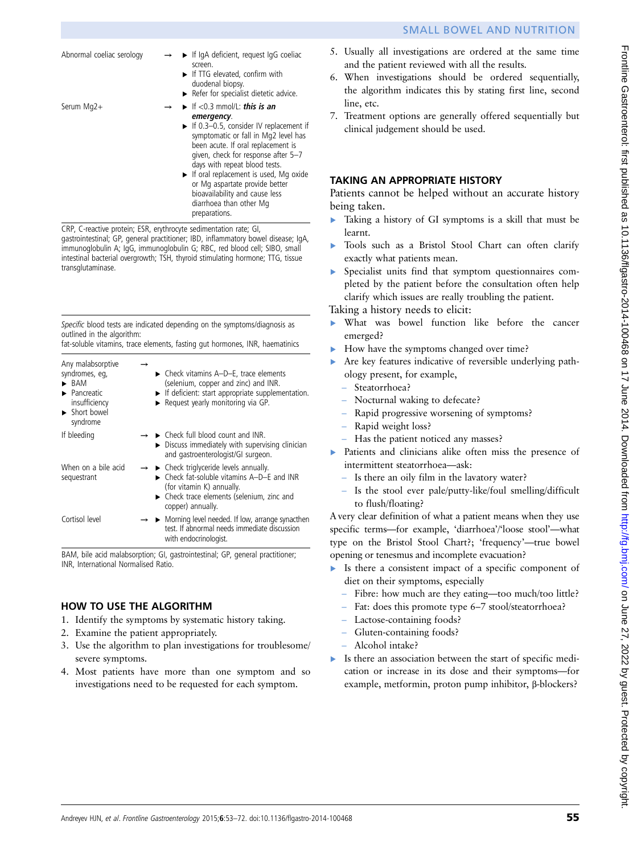- Abnormal coeliac serology  $\rightarrow$   $\rightarrow$  If IgA deficient, request IgG coeliac screen. If TTG elevated, confirm with duodenal biopsy. ▸ Refer for specialist dietetic advice. Serum Mg2+  $\rightarrow \rightarrow \rightarrow \text{If } < 0.3 \text{ mmol/L}: \text{this is an } \text{emergency}.$ emergency.<br>► If 0.3–0.5, consider IV replacement if symptomatic or fall in Mg2 level has been acute. If oral replacement is given, check for response after 5–7 days with repeat blood tests.
	- ▸ If oral replacement is used, Mg oxide or Mg aspartate provide better bioavailability and cause less diarrhoea than other Mg preparations.

CRP, C-reactive protein; ESR, erythrocyte sedimentation rate; GI, gastrointestinal; GP, general practitioner; IBD, inflammatory bowel disease; IgA, immunoglobulin A; IgG, immunoglobulin G; RBC, red blood cell; SIBO, small intestinal bacterial overgrowth; TSH, thyroid stimulating hormone; TTG, tissue transglutaminase.

Specific blood tests are indicated depending on the symptoms/diagnosis as outlined in the algorithm:

fat-soluble vitamins, trace elements, fasting gut hormones, INR, haematinics

| Any malabsorptive<br>syndromes, eq,<br>BAM<br>$\blacktriangleright$ Pancreatic<br>insufficiency<br>> Short bowel<br>syndrome | $\triangleright$ Check vitamins A-D-E, trace elements<br>(selenium, copper and zinc) and INR.<br>$\blacktriangleright$ If deficient: start appropriate supplementation.<br>$\triangleright$ Request yearly monitoring via GP. |
|------------------------------------------------------------------------------------------------------------------------------|-------------------------------------------------------------------------------------------------------------------------------------------------------------------------------------------------------------------------------|
| If bleeding                                                                                                                  | $\rightarrow$ $\rightarrow$ Check full blood count and INR.<br>$\triangleright$ Discuss immediately with supervising clinician<br>and gastroenterologist/GI surgeon.                                                          |
| When on a bile acid<br>sequestrant                                                                                           | $\rightarrow$ $\rightarrow$ Check triglyceride levels annually.<br>$\triangleright$ Check fat-soluble vitamins A-D-E and INR<br>(for vitamin K) annually.<br>• Check trace elements (selenium, zinc and<br>copper) annually.  |
| Cortisol level                                                                                                               | $\rightarrow \rightarrow$ Morning level needed. If low, arrange synacthen<br>test. If abnormal needs immediate discussion<br>with endocrinologist.                                                                            |

BAM, bile acid malabsorption; GI, gastrointestinal; GP, general practitioner; INR, International Normalised Ratio.

# HOW TO USE THE ALGORITHM

- 1. Identify the symptoms by systematic history taking.
- 2. Examine the patient appropriately.
- 3. Use the algorithm to plan investigations for troublesome/ severe symptoms.
- 4. Most patients have more than one symptom and so investigations need to be requested for each symptom.
- 5. Usually all investigations are ordered at the same time and the patient reviewed with all the results.
- 6. When investigations should be ordered sequentially, the algorithm indicates this by stating first line, second line, etc.
- 7. Treatment options are generally offered sequentially but clinical judgement should be used.

# TAKING AN APPROPRIATE HISTORY

Patients cannot be helped without an accurate history being taken.

- ▸ Taking a history of GI symptoms is a skill that must be learnt.
- Tools such as a Bristol Stool Chart can often clarify exactly what patients mean.
- Specialist units find that symptom questionnaires completed by the patient before the consultation often help clarify which issues are really troubling the patient.

Taking a history needs to elicit:

- ▸ What was bowel function like before the cancer emerged?
- How have the symptoms changed over time?
- Are key features indicative of reversible underlying pathology present, for example,
	- Steatorrhoea?
	- Nocturnal waking to defecate?
	- Rapid progressive worsening of symptoms?
	- Rapid weight loss?
	- Has the patient noticed any masses?
- ▶ Patients and clinicians alike often miss the presence of intermittent steatorrhoea—ask:
	- Is there an oily film in the lavatory water?
	- Is the stool ever pale/putty-like/foul smelling/difficult to flush/floating?

A very clear definition of what a patient means when they use specific terms—for example, 'diarrhoea'/'loose stool'—what type on the Bristol Stool Chart?; 'frequency'—true bowel opening or tenesmus and incomplete evacuation?

- ▸ Is there a consistent impact of a specific component of diet on their symptoms, especially
	- Fibre: how much are they eating—too much/too little?
	- Fat: does this promote type 6–7 stool/steatorrhoea?
	- Lactose-containing foods?
	- Gluten-containing foods?
	- Alcohol intake?
- ▸ Is there an association between the start of specific medication or increase in its dose and their symptoms—for example, metformin, proton pump inhibitor, β-blockers?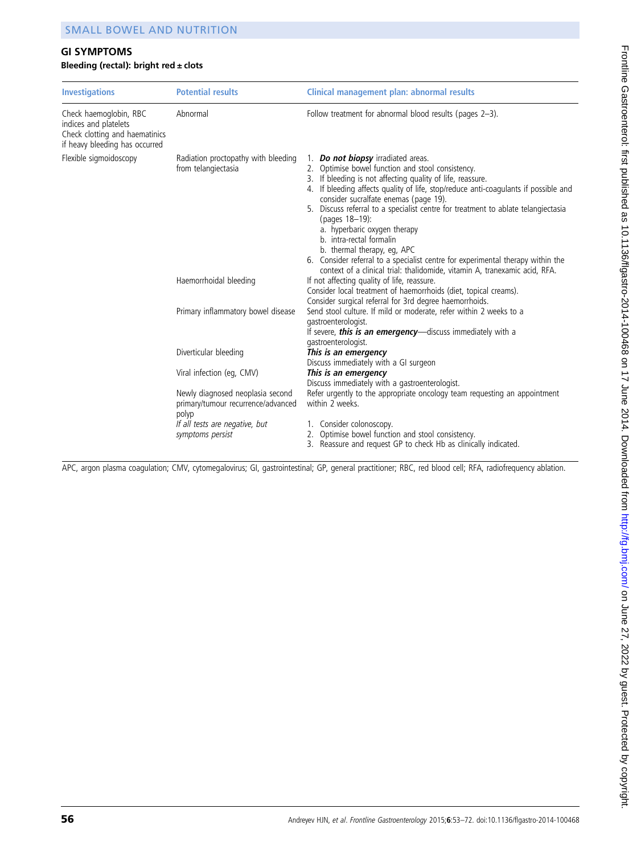# GI SYMPTOMS

#### Bleeding (rectal): bright red  $\pm$  clots

| <b>Investigations</b>                                                                                                           | <b>Potential results</b>                                                        | Clinical management plan: abnormal results                                                                                                                                                                                                                                                                                                                                                                                                                                                                                                                                                                                                               |  |  |
|---------------------------------------------------------------------------------------------------------------------------------|---------------------------------------------------------------------------------|----------------------------------------------------------------------------------------------------------------------------------------------------------------------------------------------------------------------------------------------------------------------------------------------------------------------------------------------------------------------------------------------------------------------------------------------------------------------------------------------------------------------------------------------------------------------------------------------------------------------------------------------------------|--|--|
| Abnormal<br>Check haemoglobin, RBC<br>indices and platelets<br>Check clotting and haematinics<br>if heavy bleeding has occurred |                                                                                 | Follow treatment for abnormal blood results (pages 2-3).                                                                                                                                                                                                                                                                                                                                                                                                                                                                                                                                                                                                 |  |  |
| Flexible sigmoidoscopy                                                                                                          | Radiation proctopathy with bleeding<br>from telangiectasia                      | 1. Do not biopsy irradiated areas.<br>2. Optimise bowel function and stool consistency.<br>3. If bleeding is not affecting quality of life, reassure.<br>4. If bleeding affects quality of life, stop/reduce anti-coagulants if possible and<br>consider sucralfate enemas (page 19).<br>5. Discuss referral to a specialist centre for treatment to ablate telangiectasia<br>(pages 18-19):<br>a. hyperbaric oxygen therapy<br>b. intra-rectal formalin<br>b. thermal therapy, eg, APC<br>6. Consider referral to a specialist centre for experimental therapy within the<br>context of a clinical trial: thalidomide, vitamin A, tranexamic acid, RFA. |  |  |
|                                                                                                                                 | Haemorrhoidal bleeding                                                          | If not affecting quality of life, reassure.<br>Consider local treatment of haemorrhoids (diet, topical creams).<br>Consider surgical referral for 3rd degree haemorrhoids.                                                                                                                                                                                                                                                                                                                                                                                                                                                                               |  |  |
|                                                                                                                                 | Primary inflammatory bowel disease                                              | Send stool culture. If mild or moderate, refer within 2 weeks to a<br>gastroenterologist.<br>If severe, this is an emergency-discuss immediately with a<br>gastroenterologist.                                                                                                                                                                                                                                                                                                                                                                                                                                                                           |  |  |
|                                                                                                                                 | Diverticular bleeding                                                           | This is an emergency<br>Discuss immediately with a GI surgeon                                                                                                                                                                                                                                                                                                                                                                                                                                                                                                                                                                                            |  |  |
|                                                                                                                                 | Viral infection (eq. CMV)                                                       | This is an emergency<br>Discuss immediately with a gastroenterologist.                                                                                                                                                                                                                                                                                                                                                                                                                                                                                                                                                                                   |  |  |
|                                                                                                                                 | Newly diagnosed neoplasia second<br>primary/tumour recurrence/advanced<br>polyp | Refer urgently to the appropriate oncology team requesting an appointment<br>within 2 weeks.                                                                                                                                                                                                                                                                                                                                                                                                                                                                                                                                                             |  |  |
|                                                                                                                                 | If all tests are negative, but<br>symptoms persist                              | 1. Consider colonoscopy.<br>2. Optimise bowel function and stool consistency.<br>3. Reassure and request GP to check Hb as clinically indicated.                                                                                                                                                                                                                                                                                                                                                                                                                                                                                                         |  |  |

APC, argon plasma coagulation; CMV, cytomegalovirus; GI, gastrointestinal; GP, general practitioner; RBC, red blood cell; RFA, radiofrequency ablation.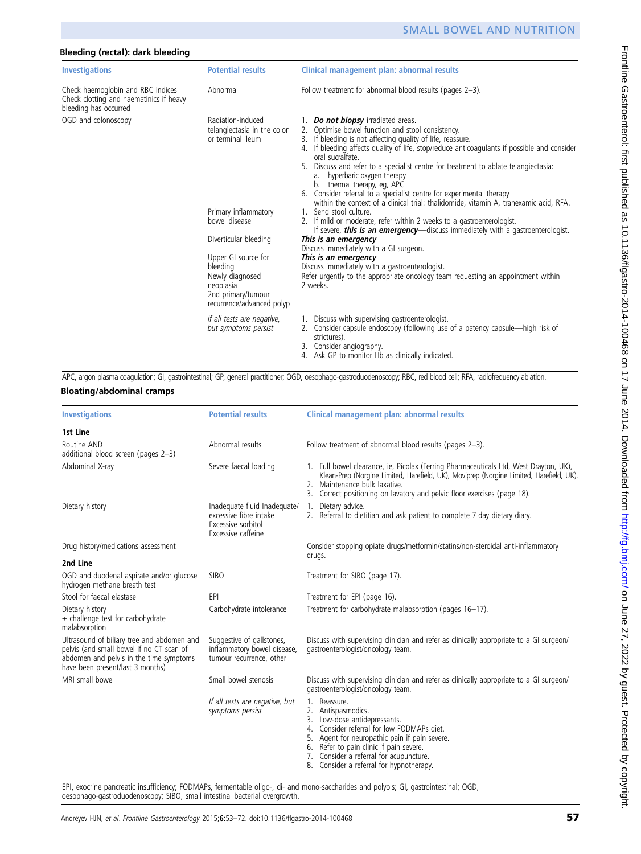| Bleeding (rectal): dark bleeding                                                                      |                                                                                                                                                                                                                                                               |                                                                                                                                                                                                                                                                                                                                                                                                                                                                                                                                                                                                                                                                                                                                                                                                                                                                                                                                                                                                                                          |  |  |  |
|-------------------------------------------------------------------------------------------------------|---------------------------------------------------------------------------------------------------------------------------------------------------------------------------------------------------------------------------------------------------------------|------------------------------------------------------------------------------------------------------------------------------------------------------------------------------------------------------------------------------------------------------------------------------------------------------------------------------------------------------------------------------------------------------------------------------------------------------------------------------------------------------------------------------------------------------------------------------------------------------------------------------------------------------------------------------------------------------------------------------------------------------------------------------------------------------------------------------------------------------------------------------------------------------------------------------------------------------------------------------------------------------------------------------------------|--|--|--|
| <b>Investigations</b>                                                                                 | <b>Potential results</b>                                                                                                                                                                                                                                      | Clinical management plan: abnormal results                                                                                                                                                                                                                                                                                                                                                                                                                                                                                                                                                                                                                                                                                                                                                                                                                                                                                                                                                                                               |  |  |  |
| Check haemoglobin and RBC indices<br>Check clotting and haematinics if heavy<br>bleeding has occurred | Abnormal                                                                                                                                                                                                                                                      | Follow treatment for abnormal blood results (pages 2-3).                                                                                                                                                                                                                                                                                                                                                                                                                                                                                                                                                                                                                                                                                                                                                                                                                                                                                                                                                                                 |  |  |  |
| OGD and colonoscopy                                                                                   | Radiation-induced<br>telangiectasia in the colon<br>or terminal ileum<br>Primary inflammatory<br>bowel disease<br>Diverticular bleeding<br>Upper GI source for<br>bleeding<br>Newly diagnosed<br>neoplasia<br>2nd primary/tumour<br>recurrence/advanced polyp | 1. Do not biopsy irradiated areas.<br>2. Optimise bowel function and stool consistency.<br>3. If bleeding is not affecting quality of life, reassure.<br>4. If bleeding affects quality of life, stop/reduce anticoagulants if possible and consider<br>oral sucralfate.<br>Discuss and refer to a specialist centre for treatment to ablate telangiectasia:<br>a. hyperbaric oxygen therapy<br>b. thermal therapy, eg, APC<br>Consider referral to a specialist centre for experimental therapy<br>6.<br>within the context of a clinical trial: thalidomide, vitamin A, tranexamic acid, RFA.<br>1. Send stool culture.<br>2. If mild or moderate, refer within 2 weeks to a gastroenterologist.<br>If severe, <b>this is an emergency</b> —discuss immediately with a gastroenterologist.<br>This is an emergency<br>Discuss immediately with a GI surgeon.<br>This is an emergency<br>Discuss immediately with a gastroenterologist.<br>Refer urgently to the appropriate oncology team requesting an appointment within<br>2 weeks. |  |  |  |
|                                                                                                       | If all tests are negative,<br>but symptoms persist                                                                                                                                                                                                            | 1. Discuss with supervising gastroenterologist.<br>2. Consider capsule endoscopy (following use of a patency capsule—high risk of<br>strictures).<br>3. Consider angiography.<br>Ack CD to monitor Uh as clinically indicated                                                                                                                                                                                                                                                                                                                                                                                                                                                                                                                                                                                                                                                                                                                                                                                                            |  |  |  |

4. Ask GP to monitor Hb as clinically indicated.

APC, argon plasma coagulation; GI, gastrointestinal; GP, general practitioner; OGD, oesophago-gastroduodenoscopy; RBC, red blood cell; RFA, radiofrequency ablation.

|  |  |  |  | <b>Bloating/abdominal cramps</b> |
|--|--|--|--|----------------------------------|
|--|--|--|--|----------------------------------|

| <b>Potential results</b>                                                                           | Clinical management plan: abnormal results                                                                                                                                                                                                                                                            |
|----------------------------------------------------------------------------------------------------|-------------------------------------------------------------------------------------------------------------------------------------------------------------------------------------------------------------------------------------------------------------------------------------------------------|
|                                                                                                    |                                                                                                                                                                                                                                                                                                       |
| Abnormal results                                                                                   | Follow treatment of abnormal blood results (pages 2-3).                                                                                                                                                                                                                                               |
| Severe faecal loading                                                                              | 1. Full bowel clearance, ie, Picolax (Ferring Pharmaceuticals Ltd, West Drayton, UK),<br>Klean-Prep (Norgine Limited, Harefield, UK), Moviprep (Norgine Limited, Harefield, UK).<br>2. Maintenance bulk laxative.<br>Correct positioning on lavatory and pelvic floor exercises (page 18).            |
| Inadequate fluid Inadequate/<br>excessive fibre intake<br>Excessive sorbitol<br>Excessive caffeine | Dietary advice.<br>1.<br>2. Referral to dietitian and ask patient to complete 7 day dietary diary.                                                                                                                                                                                                    |
|                                                                                                    | Consider stopping opiate drugs/metformin/statins/non-steroidal anti-inflammatory<br>drugs.                                                                                                                                                                                                            |
|                                                                                                    |                                                                                                                                                                                                                                                                                                       |
| <b>SIBO</b>                                                                                        | Treatment for SIBO (page 17).                                                                                                                                                                                                                                                                         |
| EPI                                                                                                | Treatment for EPI (page 16).                                                                                                                                                                                                                                                                          |
| Carbohydrate intolerance                                                                           | Treatment for carbohydrate malabsorption (pages 16-17).                                                                                                                                                                                                                                               |
| Suggestive of gallstones,<br>inflammatory bowel disease,<br>tumour recurrence, other               | Discuss with supervising clinician and refer as clinically appropriate to a GI surgeon/<br>gastroenterologist/oncology team.                                                                                                                                                                          |
| Small bowel stenosis                                                                               | Discuss with supervising clinician and refer as clinically appropriate to a GI surgeon/<br>gastroenterologist/oncology team.                                                                                                                                                                          |
| If all tests are negative, but<br>symptoms persist                                                 | 1. Reassure.<br>2. Antispasmodics.<br>Low-dose antidepressants.<br>3.<br>Consider referral for low FODMAPs diet.<br>4<br>Agent for neuropathic pain if pain severe.<br>6. Refer to pain clinic if pain severe.<br>7. Consider a referral for acupuncture.<br>8. Consider a referral for hypnotherapy. |
|                                                                                                    |                                                                                                                                                                                                                                                                                                       |

EPI, exocrine pancreatic insufficiency; FODMAPs, fermentable oligo-, di- and mono-saccharides and polyols; GI, gastrointestinal; OGD, oesophago-gastroduodenoscopy; SIBO, small intestinal bacterial overgrowth.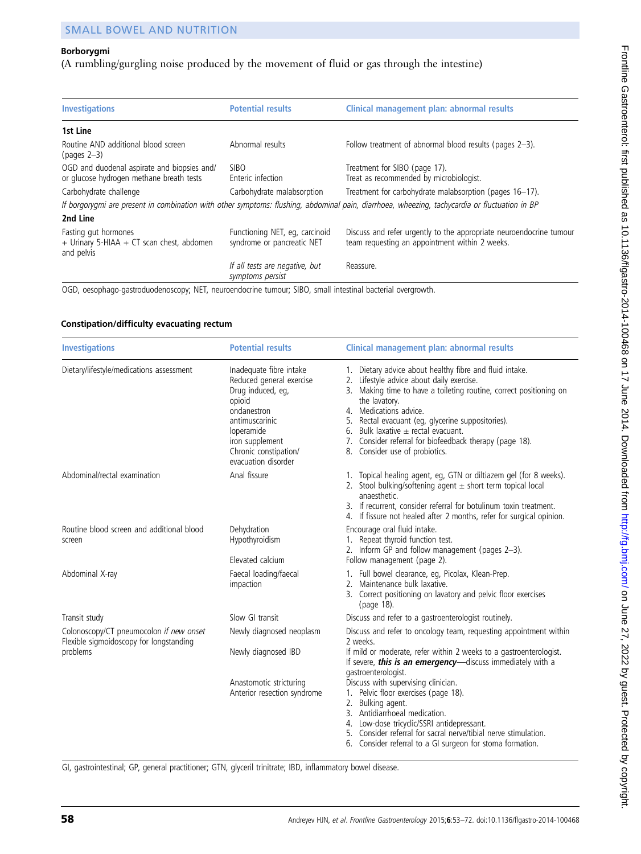# Borborygmi

# (A rumbling/gurgling noise produced by the movement of fluid or gas through the intestine)

| <b>Investigations</b>                                                                   | <b>Potential results</b>                                     | Clinical management plan: abnormal results                                                                                                    |
|-----------------------------------------------------------------------------------------|--------------------------------------------------------------|-----------------------------------------------------------------------------------------------------------------------------------------------|
| 1st Line                                                                                |                                                              |                                                                                                                                               |
| Routine AND additional blood screen<br>(pages $2-3$ )                                   | Abnormal results                                             | Follow treatment of abnormal blood results (pages 2-3).                                                                                       |
| OGD and duodenal aspirate and biopsies and/<br>or glucose hydrogen methane breath tests | <b>SIBO</b><br>Enteric infection                             | Treatment for SIBO (page 17).<br>Treat as recommended by microbiologist.                                                                      |
| Carbohydrate challenge                                                                  | Carbohydrate malabsorption                                   | Treatment for carbohydrate malabsorption (pages 16-17).                                                                                       |
|                                                                                         |                                                              | If borgorygmi are present in combination with other symptoms: flushing, abdominal pain, diarrhoea, wheezing, tachycardia or fluctuation in BP |
| 2nd Line                                                                                |                                                              |                                                                                                                                               |
| Fasting gut hormones<br>+ Urinary 5-HIAA + CT scan chest, abdomen<br>and pelvis         | Functioning NET, eg, carcinoid<br>syndrome or pancreatic NET | Discuss and refer urgently to the appropriate neuroendocrine tumour<br>team requesting an appointment within 2 weeks.                         |
|                                                                                         | If all tests are negative, but<br>symptoms persist           | Reassure.                                                                                                                                     |

OGD, oesophago-gastroduodenoscopy; NET, neuroendocrine tumour; SIBO, small intestinal bacterial overgrowth.

#### Constipation/difficulty evacuating rectum

| <b>Investigations</b>                                                              | <b>Potential results</b>                                                                                                                                                                             | Clinical management plan: abnormal results                                                                                                                                                                                                                                                                                                                                                                            |
|------------------------------------------------------------------------------------|------------------------------------------------------------------------------------------------------------------------------------------------------------------------------------------------------|-----------------------------------------------------------------------------------------------------------------------------------------------------------------------------------------------------------------------------------------------------------------------------------------------------------------------------------------------------------------------------------------------------------------------|
| Dietary/lifestyle/medications assessment                                           | Inadequate fibre intake<br>Reduced general exercise<br>Drug induced, eg,<br>opioid<br>ondanestron<br>antimuscarinic<br>loperamide<br>iron supplement<br>Chronic constipation/<br>evacuation disorder | 1. Dietary advice about healthy fibre and fluid intake.<br>Lifestyle advice about daily exercise.<br>3. Making time to have a toileting routine, correct positioning on<br>the lavatory.<br>4. Medications advice.<br>Rectal evacuant (eg, glycerine suppositories).<br>5.<br>Bulk laxative $\pm$ rectal evacuant.<br>6.<br>Consider referral for biofeedback therapy (page 18).<br>Consider use of probiotics.<br>8. |
| Abdominal/rectal examination                                                       | Anal fissure                                                                                                                                                                                         | 1. Topical healing agent, eg, GTN or diltiazem gel (for 8 weeks).<br>Stool bulking/softening agent $\pm$ short term topical local<br>anaesthetic.<br>3. If recurrent, consider referral for botulinum toxin treatment.<br>4. If fissure not healed after 2 months, refer for surgical opinion.                                                                                                                        |
| Routine blood screen and additional blood<br>screen                                | Dehydration<br>Hypothyroidism<br>Elevated calcium                                                                                                                                                    | Encourage oral fluid intake.<br>1. Repeat thyroid function test.<br>2. Inform GP and follow management (pages 2-3).<br>Follow management (page 2).                                                                                                                                                                                                                                                                    |
| Abdominal X-ray                                                                    | Faecal loading/faecal<br>impaction                                                                                                                                                                   | 1. Full bowel clearance, eg, Picolax, Klean-Prep.<br>2. Maintenance bulk laxative.<br>3. Correct positioning on lavatory and pelvic floor exercises<br>(page 18).                                                                                                                                                                                                                                                     |
| Transit study                                                                      | Slow GI transit                                                                                                                                                                                      | Discuss and refer to a gastroenterologist routinely.                                                                                                                                                                                                                                                                                                                                                                  |
| Colonoscopy/CT pneumocolon if new onset<br>Flexible sigmoidoscopy for longstanding | Newly diagnosed neoplasm                                                                                                                                                                             | Discuss and refer to oncology team, requesting appointment within<br>2 weeks.                                                                                                                                                                                                                                                                                                                                         |
| problems                                                                           | Newly diagnosed IBD                                                                                                                                                                                  | If mild or moderate, refer within 2 weeks to a gastroenterologist.<br>If severe, this is an emergency-discuss immediately with a<br>gastroenterologist.                                                                                                                                                                                                                                                               |
|                                                                                    | Anastomotic stricturing<br>Anterior resection syndrome                                                                                                                                               | Discuss with supervising clinician.<br>1. Pelvic floor exercises (page 18).<br>2. Bulking agent.<br>3. Antidiarrhoeal medication.<br>Low-dose tricyclic/SSRI antidepressant.<br>4.<br>Consider referral for sacral nerve/tibial nerve stimulation.<br>6. Consider referral to a GI surgeon for stoma formation.                                                                                                       |

GI, gastrointestinal; GP, general practitioner; GTN, glyceril trinitrate; IBD, inflammatory bowel disease.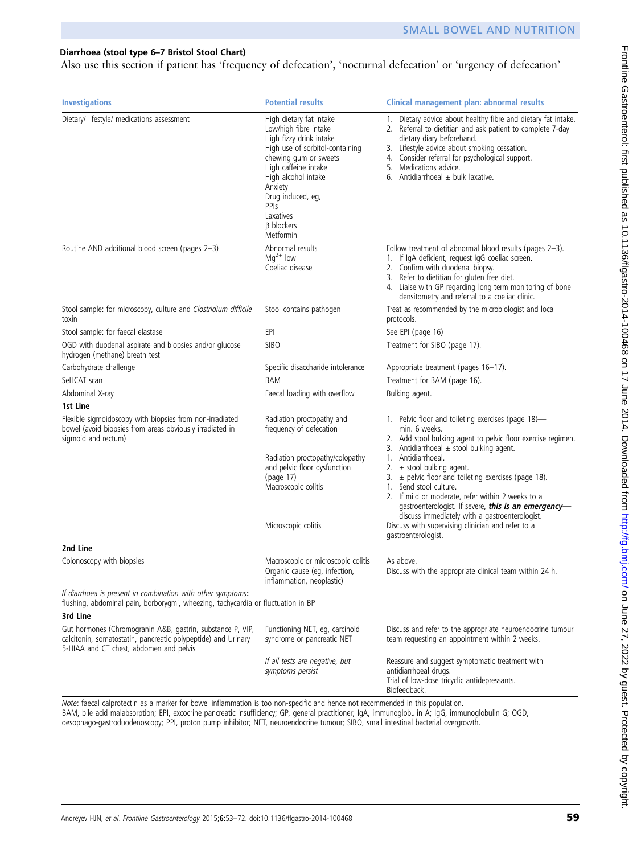#### Diarrhoea (stool type 6–7 Bristol Stool Chart)

Also use this section if patient has 'frequency of defecation', 'nocturnal defecation' or 'urgency of defecation'

| <b>Investigations</b>                                                                                                                                                  | <b>Potential results</b>                                                                                                                                                                                                                                                      | Clinical management plan: abnormal results                                                                                                                                                                                                                                                                                                                                                                                                                                                      |
|------------------------------------------------------------------------------------------------------------------------------------------------------------------------|-------------------------------------------------------------------------------------------------------------------------------------------------------------------------------------------------------------------------------------------------------------------------------|-------------------------------------------------------------------------------------------------------------------------------------------------------------------------------------------------------------------------------------------------------------------------------------------------------------------------------------------------------------------------------------------------------------------------------------------------------------------------------------------------|
| Dietary/ lifestyle/ medications assessment                                                                                                                             | High dietary fat intake<br>Low/high fibre intake<br>High fizzy drink intake<br>High use of sorbitol-containing<br>chewing gum or sweets<br>High caffeine intake<br>High alcohol intake<br>Anxiety<br>Drug induced, eg,<br>PPIs<br>Laxatives<br><b>B</b> blockers<br>Metformin | 1. Dietary advice about healthy fibre and dietary fat intake.<br>2. Referral to dietitian and ask patient to complete 7-day<br>dietary diary beforehand.<br>3. Lifestyle advice about smoking cessation.<br>4. Consider referral for psychological support.<br>5. Medications advice.<br>6. Antidiarrhoeal $\pm$ bulk laxative.                                                                                                                                                                 |
| Routine AND additional blood screen (pages 2-3)                                                                                                                        | Abnormal results<br>$Mq^{2+}$ low<br>Coeliac disease                                                                                                                                                                                                                          | Follow treatment of abnormal blood results (pages 2-3).<br>1. If IgA deficient, request IgG coeliac screen.<br>2. Confirm with duodenal biopsy.<br>3. Refer to dietitian for gluten free diet.<br>4. Liaise with GP regarding long term monitoring of bone<br>densitometry and referral to a coeliac clinic.                                                                                                                                                                                    |
| Stool sample: for microscopy, culture and Clostridium difficile<br>toxin                                                                                               | Stool contains pathogen                                                                                                                                                                                                                                                       | Treat as recommended by the microbiologist and local<br>protocols.                                                                                                                                                                                                                                                                                                                                                                                                                              |
| Stool sample: for faecal elastase                                                                                                                                      | EPI                                                                                                                                                                                                                                                                           | See EPI (page 16)                                                                                                                                                                                                                                                                                                                                                                                                                                                                               |
| OGD with duodenal aspirate and biopsies and/or glucose<br>hydrogen (methane) breath test                                                                               | <b>SIBO</b>                                                                                                                                                                                                                                                                   | Treatment for SIBO (page 17).                                                                                                                                                                                                                                                                                                                                                                                                                                                                   |
| Carbohydrate challenge                                                                                                                                                 | Specific disaccharide intolerance                                                                                                                                                                                                                                             | Appropriate treatment (pages 16-17).                                                                                                                                                                                                                                                                                                                                                                                                                                                            |
| SeHCAT scan                                                                                                                                                            | BAM                                                                                                                                                                                                                                                                           | Treatment for BAM (page 16).                                                                                                                                                                                                                                                                                                                                                                                                                                                                    |
| Abdominal X-ray                                                                                                                                                        | Faecal loading with overflow                                                                                                                                                                                                                                                  | Bulking agent.                                                                                                                                                                                                                                                                                                                                                                                                                                                                                  |
| 1st Line                                                                                                                                                               |                                                                                                                                                                                                                                                                               |                                                                                                                                                                                                                                                                                                                                                                                                                                                                                                 |
| Flexible sigmoidoscopy with biopsies from non-irradiated<br>bowel (avoid biopsies from areas obviously irradiated in<br>sigmoid and rectum)                            | Radiation proctopathy and<br>frequency of defecation<br>Radiation proctopathy/colopathy<br>and pelvic floor dysfunction<br>(page 17)<br>Macroscopic colitis                                                                                                                   | 1. Pelvic floor and toileting exercises (page 18)-<br>min. 6 weeks.<br>2. Add stool bulking agent to pelvic floor exercise regimen.<br>3. Antidiarrhoeal $\pm$ stool bulking agent.<br>1. Antidiarrhoeal.<br>2. $\pm$ stool bulking agent.<br>3. $\pm$ pelvic floor and toileting exercises (page 18).<br>1. Send stool culture.<br>2. If mild or moderate, refer within 2 weeks to a<br>gastroenterologist. If severe, this is an emergency-<br>discuss immediately with a gastroenterologist. |
|                                                                                                                                                                        | Microscopic colitis                                                                                                                                                                                                                                                           | Discuss with supervising clinician and refer to a<br>gastroenterologist.                                                                                                                                                                                                                                                                                                                                                                                                                        |
| 2nd Line                                                                                                                                                               |                                                                                                                                                                                                                                                                               |                                                                                                                                                                                                                                                                                                                                                                                                                                                                                                 |
| Colonoscopy with biopsies                                                                                                                                              | Macroscopic or microscopic colitis<br>Organic cause (eg, infection,<br>inflammation, neoplastic)                                                                                                                                                                              | As above.<br>Discuss with the appropriate clinical team within 24 h.                                                                                                                                                                                                                                                                                                                                                                                                                            |
| If diarrhoea is present in combination with other symptoms:<br>flushing, abdominal pain, borborygmi, wheezing, tachycardia or fluctuation in BP<br>3rd Line            |                                                                                                                                                                                                                                                                               |                                                                                                                                                                                                                                                                                                                                                                                                                                                                                                 |
| Gut hormones (Chromogranin A&B, gastrin, substance P, VIP,<br>calcitonin, somatostatin, pancreatic polypeptide) and Urinary<br>5-HIAA and CT chest, abdomen and pelvis | Functioning NET, eg, carcinoid<br>syndrome or pancreatic NET                                                                                                                                                                                                                  | Discuss and refer to the appropriate neuroendocrine tumour<br>team requesting an appointment within 2 weeks.                                                                                                                                                                                                                                                                                                                                                                                    |
|                                                                                                                                                                        | If all tests are negative, but<br>symptoms persist                                                                                                                                                                                                                            | Reassure and suggest symptomatic treatment with<br>antidiarrhoeal drugs.<br>Trial of low-dose tricyclic antidepressants.<br>Biofeedback.                                                                                                                                                                                                                                                                                                                                                        |

Note: faecal calprotectin as a marker for bowel inflammation is too non-specific and hence not recommended in this population.

BAM, bile acid malabsorption; EPI, excocrine pancreatic insufficiency; GP, general practitioner; IgA, immunoglobulin A; IgG, immunoglobulin G; OGD, oesophago-gastroduodenoscopy; PPI, proton pump inhibitor; NET, neuroendocrine tumour; SIBO, small intestinal bacterial overgrowth.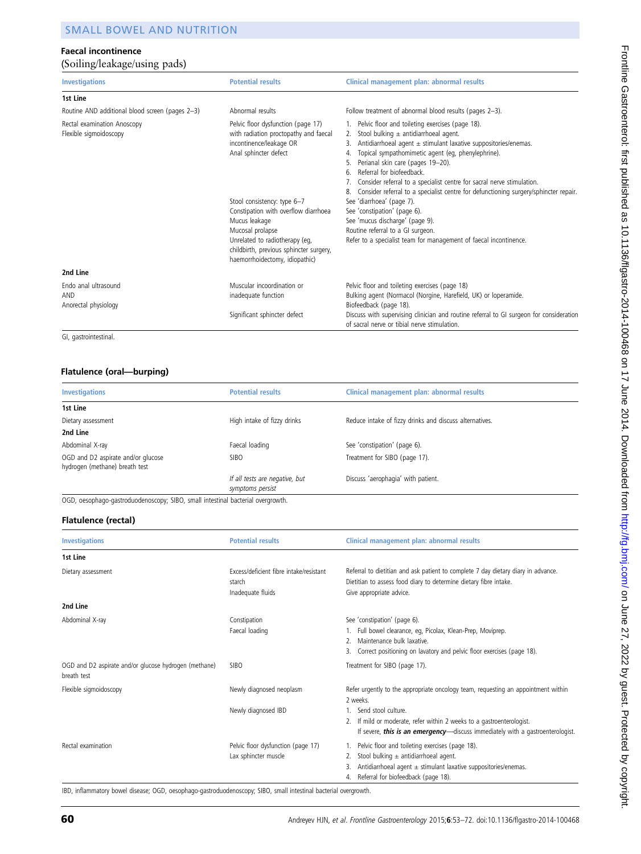#### Faecal incontinence (Soiling/leakage/using pads)

| <b>Investigations</b>                                 | <b>Potential results</b>                                                                                                                                                                                                                                                                                                                                   | Clinical management plan: abnormal results                                                                                                                                                                                                                                                                                                                                                                                                                                                                                                                                                                                                                                                        |
|-------------------------------------------------------|------------------------------------------------------------------------------------------------------------------------------------------------------------------------------------------------------------------------------------------------------------------------------------------------------------------------------------------------------------|---------------------------------------------------------------------------------------------------------------------------------------------------------------------------------------------------------------------------------------------------------------------------------------------------------------------------------------------------------------------------------------------------------------------------------------------------------------------------------------------------------------------------------------------------------------------------------------------------------------------------------------------------------------------------------------------------|
| 1st Line                                              |                                                                                                                                                                                                                                                                                                                                                            |                                                                                                                                                                                                                                                                                                                                                                                                                                                                                                                                                                                                                                                                                                   |
| Routine AND additional blood screen (pages 2-3)       | Abnormal results                                                                                                                                                                                                                                                                                                                                           | Follow treatment of abnormal blood results (pages 2-3).                                                                                                                                                                                                                                                                                                                                                                                                                                                                                                                                                                                                                                           |
| Rectal examination Anoscopy<br>Flexible sigmoidoscopy | Pelvic floor dysfunction (page 17)<br>with radiation proctopathy and faecal<br>incontinence/leakage OR<br>Anal sphincter defect<br>Stool consistency: type 6-7<br>Constipation with overflow diarrhoea<br>Mucus leakage<br>Mucosal prolapse<br>Unrelated to radiotherapy (eq,<br>childbirth, previous sphincter surgery,<br>haemorrhoidectomy, idiopathic) | 1. Pelvic floor and toileting exercises (page 18).<br>Stool bulking $\pm$ antidiarrhoeal agent.<br>2.<br>Antidiarrhoeal agent $\pm$ stimulant laxative suppositories/enemas.<br>3.<br>Topical sympathomimetic agent (eg, phenylephrine).<br>4.<br>Perianal skin care (pages 19-20).<br>Referral for biofeedback<br>6.<br>Consider referral to a specialist centre for sacral nerve stimulation.<br>Consider referral to a specialist centre for defunctioning surgery/sphincter repair.<br>See 'diarrhoea' (page 7).<br>See 'constipation' (page 6).<br>See 'mucus discharge' (page 9).<br>Routine referral to a GI surgeon.<br>Refer to a specialist team for management of faecal incontinence. |
| 2nd Line                                              |                                                                                                                                                                                                                                                                                                                                                            |                                                                                                                                                                                                                                                                                                                                                                                                                                                                                                                                                                                                                                                                                                   |
| Endo anal ultrasound<br>AND<br>Anorectal physiology   | Muscular incoordination or<br>inadequate function                                                                                                                                                                                                                                                                                                          | Pelvic floor and toileting exercises (page 18)<br>Bulking agent (Normacol (Norgine, Harefield, UK) or loperamide.<br>Biofeedback (page 18).                                                                                                                                                                                                                                                                                                                                                                                                                                                                                                                                                       |
|                                                       | Significant sphincter defect                                                                                                                                                                                                                                                                                                                               | Discuss with supervising clinician and routine referral to GI surgeon for consideration<br>of sacral nerve or tibial nerve stimulation.                                                                                                                                                                                                                                                                                                                                                                                                                                                                                                                                                           |

GI, gastrointestinal.

#### Flatulence (oral—burping)

| <b>Investigations</b>                                                | <b>Potential results</b>                           | Clinical management plan: abnormal results              |  |
|----------------------------------------------------------------------|----------------------------------------------------|---------------------------------------------------------|--|
| 1st Line                                                             |                                                    |                                                         |  |
| Dietary assessment                                                   | High intake of fizzy drinks                        | Reduce intake of fizzy drinks and discuss alternatives. |  |
| 2nd Line                                                             |                                                    |                                                         |  |
| Abdominal X-ray                                                      | Faecal loading                                     | See 'constipation' (page 6).                            |  |
| OGD and D2 aspirate and/or glucose<br>hydrogen (methane) breath test | <b>SIBO</b>                                        | Treatment for SIBO (page 17).                           |  |
|                                                                      | If all tests are negative, but<br>symptoms persist | Discuss 'aerophagia' with patient.                      |  |

OGD, oesophago-gastroduodenoscopy; SIBO, small intestinal bacterial overgrowth.

#### Flatulence (rectal)

| <b>Investigations</b>                                                | <b>Potential results</b>                                               | Clinical management plan: abnormal results                                                                                                                                                                          |
|----------------------------------------------------------------------|------------------------------------------------------------------------|---------------------------------------------------------------------------------------------------------------------------------------------------------------------------------------------------------------------|
| 1st Line                                                             |                                                                        |                                                                                                                                                                                                                     |
| Dietary assessment                                                   | Excess/deficient fibre intake/resistant<br>starch<br>Inadequate fluids | Referral to dietitian and ask patient to complete 7 day dietary diary in advance.<br>Dietitian to assess food diary to determine dietary fibre intake.<br>Give appropriate advice.                                  |
| 2nd Line                                                             |                                                                        |                                                                                                                                                                                                                     |
| Abdominal X-ray                                                      | Constipation<br>Faecal loading                                         | See 'constipation' (page 6).<br>Full bowel clearance, eg, Picolax, Klean-Prep, Moviprep.<br>Maintenance bulk laxative.<br>Correct positioning on lavatory and pelvic floor exercises (page 18).<br>3.               |
| OGD and D2 aspirate and/or glucose hydrogen (methane)<br>breath test | <b>SIBO</b>                                                            | Treatment for SIBO (page 17).                                                                                                                                                                                       |
| Flexible sigmoidoscopy                                               | Newly diagnosed neoplasm<br>Newly diagnosed IBD                        | Refer urgently to the appropriate oncology team, requesting an appointment within<br>2 weeks.<br>Send stool culture.<br>If mild or moderate, refer within 2 weeks to a gastroenterologist.                          |
|                                                                      |                                                                        | If severe, this is an emergency-discuss immediately with a gastroenterologist.                                                                                                                                      |
| Rectal examination                                                   | Pelvic floor dysfunction (page 17)<br>Lax sphincter muscle             | 1. Pelvic floor and toileting exercises (page 18).<br>Stool bulking $\pm$ antidiarrhoeal agent.<br>Antidiarrhoeal agent $\pm$ stimulant laxative suppositories/enemas.<br>Referral for biofeedback (page 18).<br>4. |

IBD, inflammatory bowel disease; OGD, oesophago-gastroduodenoscopy; SIBO, small intestinal bacterial overgrowth.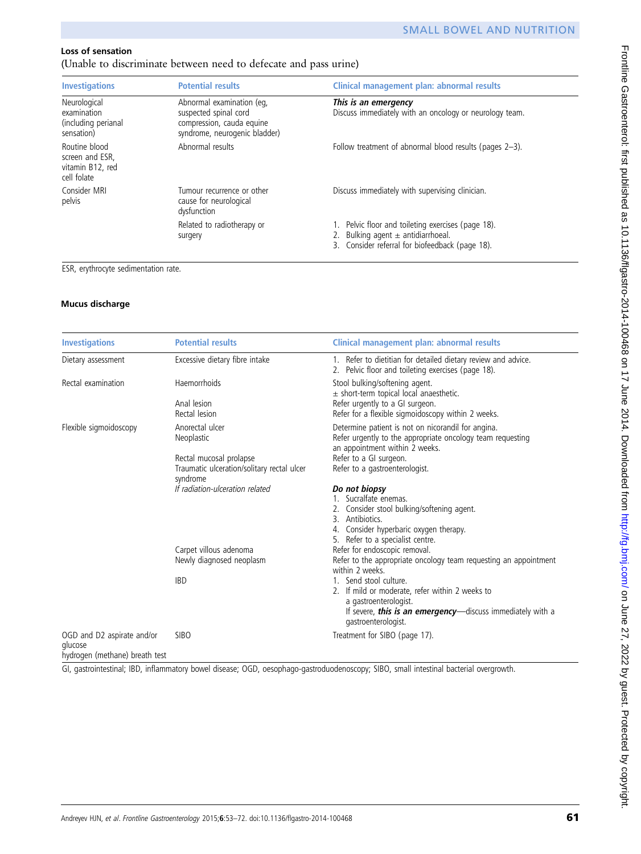# Loss of sensation

(Unable to discriminate between need to defecate and pass urine)

| <b>Investigations</b>                                               | <b>Potential results</b>                                                                                         | Clinical management plan: abnormal results                                                                                                      |
|---------------------------------------------------------------------|------------------------------------------------------------------------------------------------------------------|-------------------------------------------------------------------------------------------------------------------------------------------------|
| Neurological<br>examination<br>(including perianal<br>sensation)    | Abnormal examination (eq.<br>suspected spinal cord<br>compression, cauda equine<br>syndrome, neurogenic bladder) | This is an emergency<br>Discuss immediately with an oncology or neurology team.                                                                 |
| Routine blood<br>screen and ESR.<br>vitamin B12, red<br>cell folate | Abnormal results                                                                                                 | Follow treatment of abnormal blood results (pages 2–3).                                                                                         |
| Consider MRI<br>pelvis                                              | Tumour recurrence or other<br>cause for neurological<br>dysfunction                                              | Discuss immediately with supervising clinician.                                                                                                 |
|                                                                     | Related to radiotherapy or<br>surgery                                                                            | 1. Pelvic floor and toileting exercises (page 18).<br>2. Bulking agent $\pm$ antidiarrhoeal.<br>3. Consider referral for biofeedback (page 18). |

ESR, erythrocyte sedimentation rate.

# Mucus discharge

| <b>Investigations</b>                                                                              | <b>Potential results</b>                                                          | Clinical management plan: abnormal results                                                                                                                                                      |
|----------------------------------------------------------------------------------------------------|-----------------------------------------------------------------------------------|-------------------------------------------------------------------------------------------------------------------------------------------------------------------------------------------------|
| Dietary assessment                                                                                 | Excessive dietary fibre intake                                                    | 1. Refer to dietitian for detailed dietary review and advice.<br>2. Pelvic floor and toileting exercises (page 18).                                                                             |
| Rectal examination                                                                                 | Haemorrhoids                                                                      | Stool bulking/softening agent.<br>$\pm$ short-term topical local anaesthetic.                                                                                                                   |
|                                                                                                    | Anal lesion<br>Rectal lesion                                                      | Refer urgently to a GI surgeon.<br>Refer for a flexible sigmoidoscopy within 2 weeks.                                                                                                           |
| Flexible sigmoidoscopy                                                                             | Anorectal ulcer<br>Neoplastic                                                     | Determine patient is not on nicorandil for angina.<br>Refer urgently to the appropriate oncology team requesting<br>an appointment within 2 weeks.                                              |
|                                                                                                    | Rectal mucosal prolapse<br>Traumatic ulceration/solitary rectal ulcer<br>syndrome | Refer to a GI surgeon.<br>Refer to a gastroenterologist.                                                                                                                                        |
|                                                                                                    | If radiation-ulceration related                                                   | Do not biopsy<br>1. Sucralfate enemas.<br>2. Consider stool bulking/softening agent.<br>3. Antibiotics.<br>Consider hyperbaric oxygen therapy.<br>5. Refer to a specialist centre.              |
|                                                                                                    | Carpet villous adenoma<br>Newly diagnosed neoplasm                                | Refer for endoscopic removal.<br>Refer to the appropriate oncology team requesting an appointment<br>within 2 weeks.                                                                            |
|                                                                                                    | <b>IBD</b>                                                                        | 1. Send stool culture.<br>2. If mild or moderate, refer within 2 weeks to<br>a gastroenterologist.<br>If severe, <b>this is an emergency</b> —discuss immediately with a<br>gastroenterologist. |
| OGD and D2 aspirate and/or<br>glucose<br>la calla a a confluenzaba a cana Villa de a alta de a ant | <b>SIBO</b>                                                                       | Treatment for SIBO (page 17).                                                                                                                                                                   |

hydrogen (methane) breath test

GI, gastrointestinal; IBD, inflammatory bowel disease; OGD, oesophago-gastroduodenoscopy; SIBO, small intestinal bacterial overgrowth.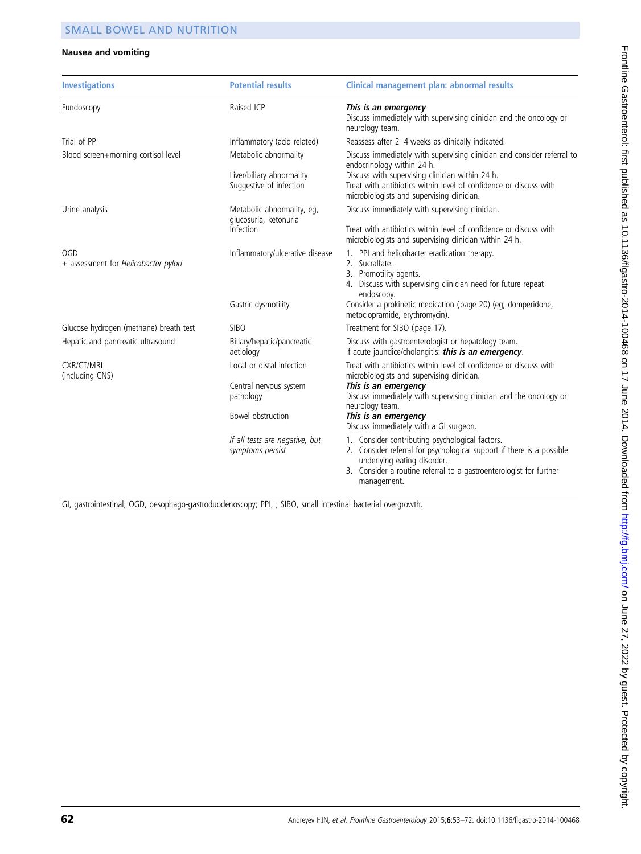#### Nausea and vomiting

| <b>Investigations</b>                                  | <b>Potential results</b>                                                              | Clinical management plan: abnormal results                                                                                                                                                                                                                                                         |
|--------------------------------------------------------|---------------------------------------------------------------------------------------|----------------------------------------------------------------------------------------------------------------------------------------------------------------------------------------------------------------------------------------------------------------------------------------------------|
| Fundoscopy                                             | Raised ICP                                                                            | This is an emergency<br>Discuss immediately with supervising clinician and the oncology or<br>neurology team.                                                                                                                                                                                      |
| Trial of PPI                                           | Inflammatory (acid related)                                                           | Reassess after 2-4 weeks as clinically indicated.                                                                                                                                                                                                                                                  |
| Blood screen+morning cortisol level                    | Metabolic abnormality<br>Liver/biliary abnormality<br>Suggestive of infection         | Discuss immediately with supervising clinician and consider referral to<br>endocrinology within 24 h.<br>Discuss with supervising clinician within 24 h.<br>Treat with antibiotics within level of confidence or discuss with<br>microbiologists and supervising clinician.                        |
| Urine analysis                                         | Metabolic abnormality, eg,<br>glucosuria, ketonuria<br>Infection                      | Discuss immediately with supervising clinician.<br>Treat with antibiotics within level of confidence or discuss with<br>microbiologists and supervising clinician within 24 h.                                                                                                                     |
| <b>OGD</b><br>$\pm$ assessment for Helicobacter pylori | Inflammatory/ulcerative disease<br>Gastric dysmotility                                | 1. PPI and helicobacter eradication therapy.<br>2. Sucralfate.<br>3. Promotility agents.<br>4. Discuss with supervising clinician need for future repeat<br>endoscopy.<br>Consider a prokinetic medication (page 20) (eg, domperidone,<br>metoclopramide, erythromycin).                           |
| Glucose hydrogen (methane) breath test                 | <b>SIBO</b>                                                                           | Treatment for SIBO (page 17).                                                                                                                                                                                                                                                                      |
| Hepatic and pancreatic ultrasound                      | Biliary/hepatic/pancreatic<br>aetiology                                               | Discuss with gastroenterologist or hepatology team.<br>If acute jaundice/cholangitis: this is an emergency.                                                                                                                                                                                        |
| <b>CXR/CT/MRI</b><br>(including CNS)                   | Local or distal infection<br>Central nervous system<br>pathology<br>Bowel obstruction | Treat with antibiotics within level of confidence or discuss with<br>microbiologists and supervising clinician.<br>This is an emergency<br>Discuss immediately with supervising clinician and the oncology or<br>neurology team.<br>This is an emergency<br>Discuss immediately with a GI surgeon. |
|                                                        | If all tests are negative, but<br>symptoms persist                                    | 1. Consider contributing psychological factors.<br>2. Consider referral for psychological support if there is a possible<br>underlying eating disorder.<br>3. Consider a routine referral to a gastroenterologist for further<br>management.                                                       |

GI, gastrointestinal; OGD, oesophago-gastroduodenoscopy; PPI, ; SIBO, small intestinal bacterial overgrowth.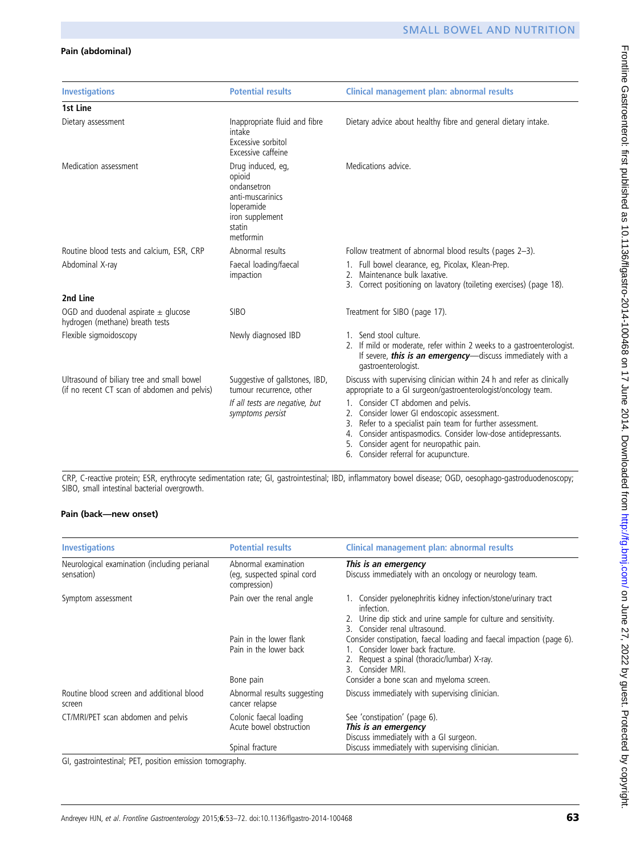# Pain (abdominal)

| <b>Investigations</b>                                                                      | <b>Potential results</b>                                                                                               | Clinical management plan: abnormal results                                                                                                                                                                                                                                                                  |
|--------------------------------------------------------------------------------------------|------------------------------------------------------------------------------------------------------------------------|-------------------------------------------------------------------------------------------------------------------------------------------------------------------------------------------------------------------------------------------------------------------------------------------------------------|
| 1st Line                                                                                   |                                                                                                                        |                                                                                                                                                                                                                                                                                                             |
| Dietary assessment                                                                         | Inappropriate fluid and fibre<br>intake<br>Excessive sorbitol<br>Excessive caffeine                                    | Dietary advice about healthy fibre and general dietary intake.                                                                                                                                                                                                                                              |
| Medication assessment                                                                      | Drug induced, eq,<br>opioid<br>ondansetron<br>anti-muscarinics<br>loperamide<br>iron supplement<br>statin<br>metformin | Medications advice.                                                                                                                                                                                                                                                                                         |
| Routine blood tests and calcium, ESR, CRP                                                  | Abnormal results                                                                                                       | Follow treatment of abnormal blood results (pages 2-3).                                                                                                                                                                                                                                                     |
| Abdominal X-ray                                                                            | Faecal loading/faecal<br>impaction                                                                                     | 1. Full bowel clearance, eg, Picolax, Klean-Prep.<br>2. Maintenance bulk laxative.<br>3. Correct positioning on lavatory (toileting exercises) (page 18).                                                                                                                                                   |
| 2nd Line                                                                                   |                                                                                                                        |                                                                                                                                                                                                                                                                                                             |
| OGD and duodenal aspirate $\pm$ glucose<br>hydrogen (methane) breath tests                 | SIBO                                                                                                                   | Treatment for SIBO (page 17).                                                                                                                                                                                                                                                                               |
| Flexible sigmoidoscopy                                                                     | Newly diagnosed IBD                                                                                                    | 1. Send stool culture.<br>2. If mild or moderate, refer within 2 weeks to a gastroenterologist.<br>If severe, this is an emergency-discuss immediately with a<br>gastroenterologist.                                                                                                                        |
| Ultrasound of biliary tree and small bowel<br>(if no recent CT scan of abdomen and pelvis) | Suggestive of gallstones, IBD,<br>tumour recurrence, other                                                             | Discuss with supervising clinician within 24 h and refer as clinically<br>appropriate to a GI surgeon/gastroenterologist/oncology team.                                                                                                                                                                     |
|                                                                                            | If all tests are negative, but<br>symptoms persist                                                                     | 1. Consider CT abdomen and pelvis.<br>2. Consider lower GI endoscopic assessment.<br>Refer to a specialist pain team for further assessment.<br>3.<br>4. Consider antispasmodics. Consider low-dose antidepressants.<br>Consider agent for neuropathic pain.<br>5.<br>6. Consider referral for acupuncture. |

CRP, C-reactive protein; ESR, erythrocyte sedimentation rate; GI, gastrointestinal; IBD, inflammatory bowel disease; OGD, oesophago-gastroduodenoscopy; SIBO, small intestinal bacterial overgrowth.

#### Pain (back—new onset)

| <b>Investigations</b>                                      | <b>Potential results</b>                                           | Clinical management plan: abnormal results                                                                                                                                         |
|------------------------------------------------------------|--------------------------------------------------------------------|------------------------------------------------------------------------------------------------------------------------------------------------------------------------------------|
| Neurological examination (including perianal<br>sensation) | Abnormal examination<br>(eg, suspected spinal cord<br>compression) | This is an emergency<br>Discuss immediately with an oncology or neurology team.                                                                                                    |
| Symptom assessment                                         | Pain over the renal angle                                          | 1. Consider pyelonephritis kidney infection/stone/urinary tract<br>infection.<br>2. Urine dip stick and urine sample for culture and sensitivity.<br>3. Consider renal ultrasound. |
|                                                            | Pain in the lower flank<br>Pain in the lower back                  | Consider constipation, faecal loading and faecal impaction (page 6).<br>1. Consider lower back fracture.<br>2. Request a spinal (thoracic/lumbar) X-ray.<br>3. Consider MRI.       |
|                                                            | Bone pain                                                          | Consider a bone scan and myeloma screen.                                                                                                                                           |
| Routine blood screen and additional blood<br>screen        | Abnormal results suggesting<br>cancer relapse                      | Discuss immediately with supervising clinician.                                                                                                                                    |
| CT/MRI/PET scan abdomen and pelvis                         | Colonic faecal loading<br>Acute bowel obstruction                  | See 'constipation' (page 6).<br>This is an emergency<br>Discuss immediately with a GI surgeon.                                                                                     |
|                                                            | Spinal fracture                                                    | Discuss immediately with supervising clinician.                                                                                                                                    |

GI, gastrointestinal; PET, position emission tomography.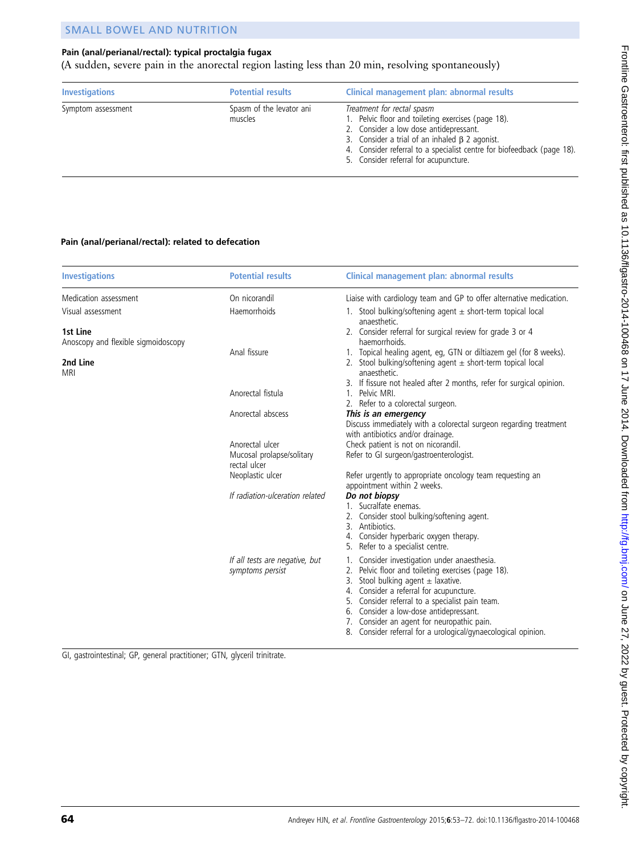# Pain (anal/perianal/rectal): typical proctalgia fugax

(A sudden, severe pain in the anorectal region lasting less than 20 min, resolving spontaneously)

| <b>Investigations</b> | <b>Potential results</b>            | Clinical management plan: abnormal results                                                                                                                                                                                                                                                            |
|-----------------------|-------------------------------------|-------------------------------------------------------------------------------------------------------------------------------------------------------------------------------------------------------------------------------------------------------------------------------------------------------|
| Symptom assessment    | Spasm of the levator ani<br>muscles | Treatment for rectal spasm<br>1. Pelvic floor and toileting exercises (page 18).<br>2. Consider a low dose antidepressant.<br>3. Consider a trial of an inhaled $\beta$ 2 agonist.<br>4. Consider referral to a specialist centre for biofeedback (page 18).<br>5. Consider referral for acupuncture. |

#### Pain (anal/perianal/rectal): related to defecation

| <b>Investigations</b>                           | <b>Potential results</b>                                     | Clinical management plan: abnormal results                                                                                                                                                                                                                                                                                                                                                             |
|-------------------------------------------------|--------------------------------------------------------------|--------------------------------------------------------------------------------------------------------------------------------------------------------------------------------------------------------------------------------------------------------------------------------------------------------------------------------------------------------------------------------------------------------|
| Medication assessment                           | On nicorandil                                                | Liaise with cardiology team and GP to offer alternative medication.                                                                                                                                                                                                                                                                                                                                    |
| Visual assessment                               | Haemorrhoids                                                 | 1. Stool bulking/softening agent $\pm$ short-term topical local<br>anaesthetic.                                                                                                                                                                                                                                                                                                                        |
| 1st Line<br>Anoscopy and flexible sigmoidoscopy | Anal fissure                                                 | 2. Consider referral for surgical review for grade 3 or 4<br>haemorrhoids.<br>1. Topical healing agent, eg, GTN or diltiazem gel (for 8 weeks).                                                                                                                                                                                                                                                        |
| 2nd Line<br><b>MRI</b>                          |                                                              | 2. Stool bulking/softening agent $\pm$ short-term topical local<br>anaesthetic.<br>3. If fissure not healed after 2 months, refer for surgical opinion.                                                                                                                                                                                                                                                |
|                                                 | Anorectal fistula                                            | 1. Pelvic MRI.<br>2. Refer to a colorectal surgeon.                                                                                                                                                                                                                                                                                                                                                    |
|                                                 | Anorectal abscess                                            | This is an emergency<br>Discuss immediately with a colorectal surgeon regarding treatment<br>with antibiotics and/or drainage.                                                                                                                                                                                                                                                                         |
|                                                 | Anorectal ulcer<br>Mucosal prolapse/solitary<br>rectal ulcer | Check patient is not on nicorandil.<br>Refer to GI surgeon/gastroenterologist.                                                                                                                                                                                                                                                                                                                         |
|                                                 | Neoplastic ulcer                                             | Refer urgently to appropriate oncology team requesting an<br>appointment within 2 weeks.                                                                                                                                                                                                                                                                                                               |
|                                                 | If radiation-ulceration related                              | Do not biopsy<br>1. Sucralfate enemas.<br>2. Consider stool bulking/softening agent.<br>3. Antibiotics.<br>4. Consider hyperbaric oxygen therapy.<br>5. Refer to a specialist centre.                                                                                                                                                                                                                  |
|                                                 | If all tests are negative, but<br>symptoms persist           | 1. Consider investigation under anaesthesia.<br>Pelvic floor and toileting exercises (page 18).<br>Stool bulking agent $\pm$ laxative.<br>3.<br>Consider a referral for acupuncture.<br>4.<br>5. Consider referral to a specialist pain team.<br>6. Consider a low-dose antidepressant.<br>7. Consider an agent for neuropathic pain.<br>8. Consider referral for a urological/gynaecological opinion. |

GI, gastrointestinal; GP, general practitioner; GTN, glyceril trinitrate.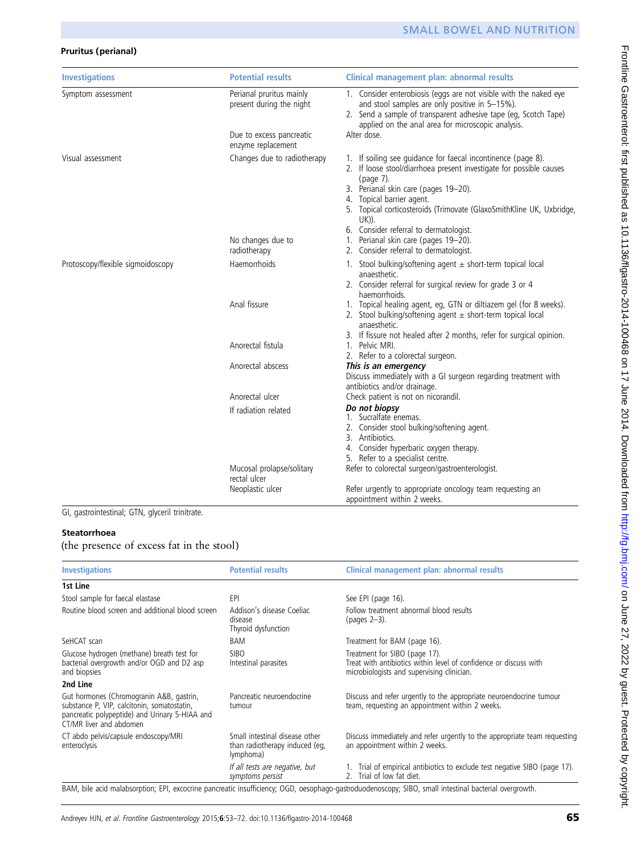# Pruritus (perianal)

| <b>Investigations</b>             | <b>Potential results</b>                                                         | <b>Clinical management plan: abnormal results</b>                                                                                                                                                                                                                                                      |
|-----------------------------------|----------------------------------------------------------------------------------|--------------------------------------------------------------------------------------------------------------------------------------------------------------------------------------------------------------------------------------------------------------------------------------------------------|
| Symptom assessment                | Perianal pruritus mainly<br>present during the night<br>Due to excess pancreatic | 1. Consider enterobiosis (eggs are not visible with the naked eye<br>and stool samples are only positive in 5-15%).<br>2. Send a sample of transparent adhesive tape (eq, Scotch Tape)<br>applied on the anal area for microscopic analysis.<br>Alter dose.                                            |
|                                   | enzyme replacement                                                               |                                                                                                                                                                                                                                                                                                        |
| Visual assessment                 | Changes due to radiotherapy                                                      | 1. If soiling see guidance for faecal incontinence (page 8).<br>2. If loose stool/diarrhoea present investigate for possible causes<br>(page 7).<br>3. Perianal skin care (pages 19-20).<br>4. Topical barrier agent.<br>5. Topical corticosteroids (Trimovate (GlaxoSmithKline UK, Uxbridge,<br>UK)). |
|                                   |                                                                                  | 6. Consider referral to dermatologist.                                                                                                                                                                                                                                                                 |
|                                   | No changes due to                                                                | 1. Perianal skin care (pages 19-20).                                                                                                                                                                                                                                                                   |
|                                   | radiotherapy                                                                     | 2. Consider referral to dermatologist.                                                                                                                                                                                                                                                                 |
| Protoscopy/flexible sigmoidoscopy | Haemorrhoids                                                                     | 1. Stool bulking/softening agent $\pm$ short-term topical local<br>anaesthetic.<br>2. Consider referral for surgical review for grade 3 or 4<br>haemorrhoids.                                                                                                                                          |
|                                   | Anal fissure                                                                     | 1. Topical healing agent, eg, GTN or diltiazem gel (for 8 weeks).<br>2. Stool bulking/softening agent $\pm$ short-term topical local<br>anaesthetic.                                                                                                                                                   |
|                                   | Anorectal fistula                                                                | 3. If fissure not healed after 2 months, refer for surgical opinion.<br>1. Pelvic MRI.                                                                                                                                                                                                                 |
|                                   |                                                                                  | 2. Refer to a colorectal surgeon.                                                                                                                                                                                                                                                                      |
|                                   | Anorectal abscess                                                                | This is an emergency<br>Discuss immediately with a GI surgeon regarding treatment with<br>antibiotics and/or drainage.                                                                                                                                                                                 |
|                                   | Anorectal ulcer                                                                  | Check patient is not on nicorandil.                                                                                                                                                                                                                                                                    |
|                                   | If radiation related                                                             | Do not biopsy<br>1. Sucralfate enemas.<br>2. Consider stool bulking/softening agent.<br>3. Antibiotics.<br>4. Consider hyperbaric oxygen therapy.<br>5. Refer to a specialist centre.                                                                                                                  |
|                                   | Mucosal prolapse/solitary                                                        | Refer to colorectal surgeon/gastroenterologist.                                                                                                                                                                                                                                                        |
|                                   | rectal ulcer<br>Neoplastic ulcer                                                 | Refer urgently to appropriate oncology team requesting an<br>appointment within 2 weeks.                                                                                                                                                                                                               |

GI, gastrointestinal; GTN, glyceril trinitrate.

# Steatorrhoea

(the presence of excess fat in the stool)

| <b>Investigations</b>                                                                                                                                                | <b>Potential results</b>                                                      | Clinical management plan: abnormal results                                                                                                             |
|----------------------------------------------------------------------------------------------------------------------------------------------------------------------|-------------------------------------------------------------------------------|--------------------------------------------------------------------------------------------------------------------------------------------------------|
| 1st Line                                                                                                                                                             |                                                                               |                                                                                                                                                        |
| Stool sample for faecal elastase                                                                                                                                     | EPI                                                                           | See EPI (page 16).                                                                                                                                     |
| Routine blood screen and additional blood screen                                                                                                                     | Addison's disease Coeliac<br>disease<br>Thyroid dysfunction                   | Follow treatment abnormal blood results<br>(pages 2–3).                                                                                                |
| SeHCAT scan                                                                                                                                                          | BAM                                                                           | Treatment for BAM (page 16).                                                                                                                           |
| Glucose hydrogen (methane) breath test for<br>bacterial overgrowth and/or OGD and D2 asp<br>and biopsies                                                             | <b>SIBO</b><br>Intestinal parasites                                           | Treatment for SIBO (page 17).<br>Treat with antibiotics within level of confidence or discuss with<br>microbiologists and supervising clinician.       |
| 2nd Line                                                                                                                                                             |                                                                               |                                                                                                                                                        |
| Gut hormones (Chromogranin A&B, gastrin,<br>substance P, VIP, calcitonin, somatostatin,<br>pancreatic polypeptide) and Urinary 5-HIAA and<br>CT/MR liver and abdomen | Pancreatic neuroendocrine<br>tumour                                           | Discuss and refer urgently to the appropriate neuroendocrine tumour<br>team, requesting an appointment within 2 weeks.                                 |
| CT abdo pelvis/capsule endoscopy/MRI<br>enteroclysis                                                                                                                 | Small intestinal disease other<br>than radiotherapy induced (eq,<br>lymphoma) | Discuss immediately and refer urgently to the appropriate team requesting<br>an appointment within 2 weeks.                                            |
|                                                                                                                                                                      | If all tests are negative, but<br>symptoms persist                            | 1. Trial of empirical antibiotics to exclude test negative SIBO (page 17).<br>2. Trial of low fat diet.                                                |
|                                                                                                                                                                      |                                                                               | BAM, bile acid malabsorption; EPI, excocrine pancreatic insufficiency; OGD, oesophago-gastroduodenoscopy; SIBO, small intestinal bacterial overgrowth. |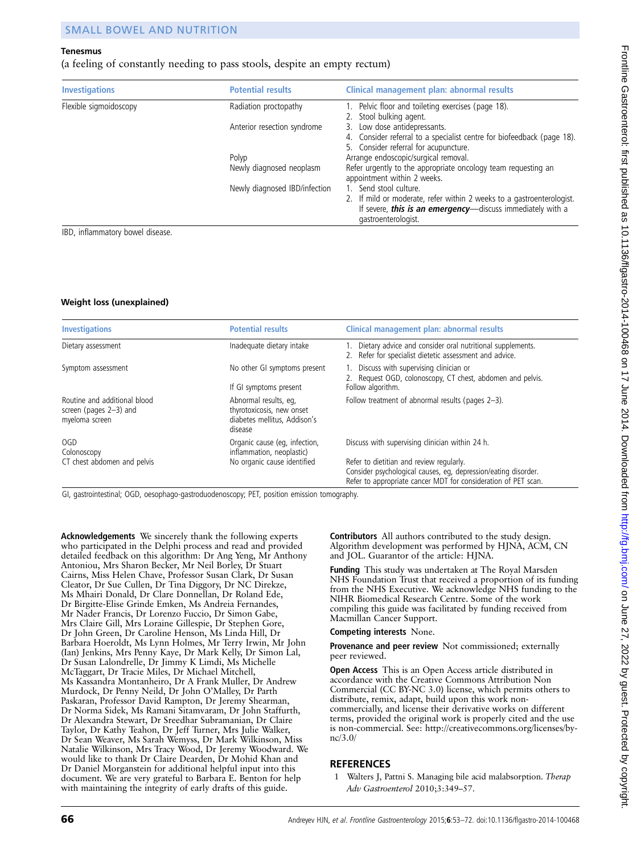#### <span id="page-13-0"></span>Tenesmus

(a feeling of constantly needing to pass stools, despite an empty rectum)

| <b>Investigations</b>  | <b>Potential results</b>      | Clinical management plan: abnormal results                                                                                                                                           |
|------------------------|-------------------------------|--------------------------------------------------------------------------------------------------------------------------------------------------------------------------------------|
| Flexible sigmoidoscopy | Radiation proctopathy         | 1. Pelvic floor and toileting exercises (page 18).<br>2. Stool bulking agent.                                                                                                        |
|                        | Anterior resection syndrome   | 3. Low dose antidepressants.<br>4. Consider referral to a specialist centre for biofeedback (page 18).<br>5. Consider referral for acupuncture.                                      |
|                        | Polyp                         | Arrange endoscopic/surgical removal.                                                                                                                                                 |
|                        | Newly diagnosed neoplasm      | Refer urgently to the appropriate oncology team requesting an<br>appointment within 2 weeks.                                                                                         |
|                        | Newly diagnosed IBD/infection | 1. Send stool culture.<br>2. If mild or moderate, refer within 2 weeks to a gastroenterologist.<br>If severe, this is an emergency-discuss immediately with a<br>gastroenterologist. |

IBD, inflammatory bowel disease.

#### Weight loss (unexplained)

| <b>Investigations</b>                                                       | <b>Potential results</b>                                                                      | Clinical management plan: abnormal results                                                                                                                                                                                      |
|-----------------------------------------------------------------------------|-----------------------------------------------------------------------------------------------|---------------------------------------------------------------------------------------------------------------------------------------------------------------------------------------------------------------------------------|
| Dietary assessment                                                          | Inadequate dietary intake                                                                     | Dietary advice and consider oral nutritional supplements.<br>2. Refer for specialist dietetic assessment and advice.                                                                                                            |
| Symptom assessment                                                          | No other GI symptoms present<br>If GI symptoms present                                        | 1. Discuss with supervising clinician or<br>2. Request OGD, colonoscopy, CT chest, abdomen and pelvis.<br>Follow algorithm.                                                                                                     |
| Routine and additional blood<br>screen (pages $2-3$ ) and<br>myeloma screen | Abnormal results, eq.<br>thyrotoxicosis, new onset<br>diabetes mellitus, Addison's<br>disease | Follow treatment of abnormal results (pages 2-3).                                                                                                                                                                               |
| OGD<br>Colonoscopy<br>CT chest abdomen and pelvis                           | Organic cause (eg. infection,<br>inflammation, neoplastic)<br>No organic cause identified     | Discuss with supervising clinician within 24 h.<br>Refer to dietitian and review regularly.<br>Consider psychological causes, eg, depression/eating disorder.<br>Refer to appropriate cancer MDT for consideration of PET scan. |

GI, gastrointestinal; OGD, oesophago-gastroduodenoscopy; PET, position emission tomography.

Acknowledgements We sincerely thank the following experts who participated in the Delphi process and read and provided detailed feedback on this algorithm: Dr Ang Yeng, Mr Anthony Antoniou, Mrs Sharon Becker, Mr Neil Borley, Dr Stuart Cairns, Miss Helen Chave, Professor Susan Clark, Dr Susan Cleator, Dr Sue Cullen, Dr Tina Diggory, Dr NC Direkze, Ms Mhairi Donald, Dr Clare Donnellan, Dr Roland Ede, Dr Birgitte-Elise Grinde Emken, Ms Andreia Fernandes, Mr Nader Francis, Dr Lorenzo Fuccio, Dr Simon Gabe, Mrs Claire Gill, Mrs Loraine Gillespie, Dr Stephen Gore, Dr John Green, Dr Caroline Henson, Ms Linda Hill, Dr Barbara Hoeroldt, Ms Lynn Holmes, Mr Terry Irwin, Mr John (Ian) Jenkins, Mrs Penny Kaye, Dr Mark Kelly, Dr Simon Lal, Dr Susan Lalondrelle, Dr Jimmy K Limdi, Ms Michelle McTaggart, Dr Tracie Miles, Dr Michael Mitchell, Ms Kassandra Montanheiro, Dr A Frank Muller, Dr Andrew Murdock, Dr Penny Neild, Dr John O'Malley, Dr Parth Paskaran, Professor David Rampton, Dr Jeremy Shearman, Dr Norma Sidek, Ms Ramani Sitamvaram, Dr John Staffurth, Dr Alexandra Stewart, Dr Sreedhar Subramanian, Dr Claire Taylor, Dr Kathy Teahon, Dr Jeff Turner, Mrs Julie Walker, Dr Sean Weaver, Ms Sarah Wemyss, Dr Mark Wilkinson, Miss Natalie Wilkinson, Mrs Tracy Wood, Dr Jeremy Woodward. We would like to thank Dr Claire Dearden, Dr Mohid Khan and Dr Daniel Morganstein for additional helpful input into this document. We are very grateful to Barbara E. Benton for help with maintaining the integrity of early drafts of this guide.

Contributors All authors contributed to the study design. Algorithm development was performed by HJNA, ACM, CN and JOL. Guarantor of the article: HJNA.

Funding This study was undertaken at The Royal Marsden NHS Foundation Trust that received a proportion of its funding from the NHS Executive. We acknowledge NHS funding to the NIHR Biomedical Research Centre. Some of the work compiling this guide was facilitated by funding received from Macmillan Cancer Support.

#### Competing interests None.

Provenance and peer review Not commissioned; externally peer reviewed.

Open Access This is an Open Access article distributed in accordance with the Creative Commons Attribution Non Commercial (CC BY-NC 3.0) license, which permits others to distribute, remix, adapt, build upon this work noncommercially, and license their derivative works on different terms, provided the original work is properly cited and the use is non-commercial. See: http://creativecommons.org/licenses/bync/3.0/

#### **REFERENCES**

Walters J, Pattni S. Managing bile acid malabsorption. Therap Adv Gastroenterol 2010;3:349–57.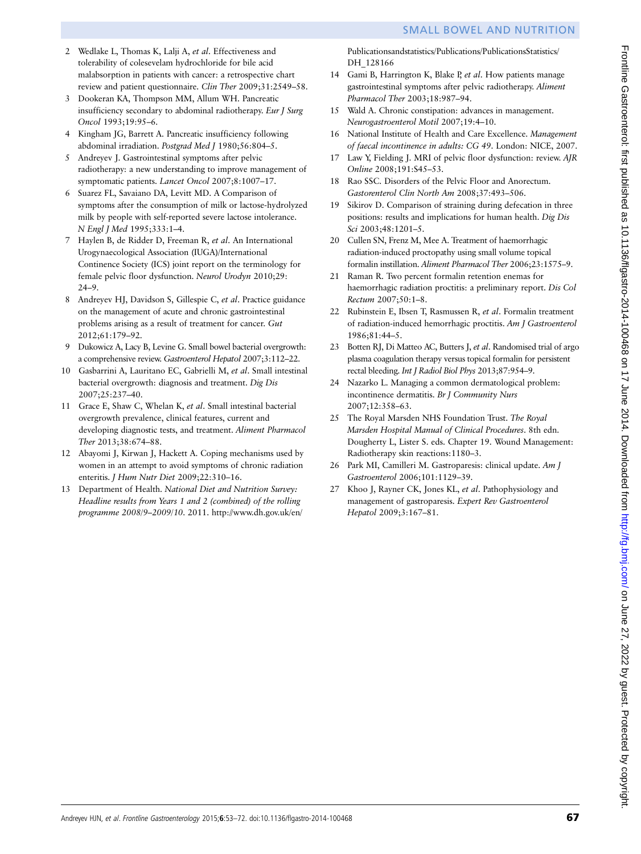- <span id="page-14-0"></span>2 Wedlake L, Thomas K, Lalji A, et al. Effectiveness and tolerability of colesevelam hydrochloride for bile acid malabsorption in patients with cancer: a retrospective chart review and patient questionnaire. Clin Ther 2009;31:2549–58.
- 3 Dookeran KA, Thompson MM, Allum WH. Pancreatic insufficiency secondary to abdominal radiotherapy. Eur J Surg Oncol 1993;19:95–6.
- 4 Kingham JG, Barrett A. Pancreatic insufficiency following abdominal irradiation. Postgrad Med J 1980;56:804–5.
- 5 Andreyev J. Gastrointestinal symptoms after pelvic radiotherapy: a new understanding to improve management of symptomatic patients. Lancet Oncol 2007;8:1007–17.
- 6 Suarez FL, Savaiano DA, Levitt MD. A Comparison of symptoms after the consumption of milk or lactose-hydrolyzed milk by people with self-reported severe lactose intolerance. N Engl J Med 1995;333:1–4.
- 7 Haylen B, de Ridder D, Freeman R, et al. An International Urogynaecological Association (IUGA)/International Continence Society (ICS) joint report on the terminology for female pelvic floor dysfunction. Neurol Urodyn 2010;29: 24–9.
- 8 Andreyev HJ, Davidson S, Gillespie C, et al. Practice guidance on the management of acute and chronic gastrointestinal problems arising as a result of treatment for cancer. Gut 2012;61:179–92.
- 9 Dukowicz A, Lacy B, Levine G. Small bowel bacterial overgrowth: a comprehensive review. Gastroenterol Hepatol 2007;3:112–22.
- 10 Gasbarrini A, Lauritano EC, Gabrielli M, et al. Small intestinal bacterial overgrowth: diagnosis and treatment. Dig Dis 2007;25:237–40.
- 11 Grace E, Shaw C, Whelan K, et al. Small intestinal bacterial overgrowth prevalence, clinical features, current and developing diagnostic tests, and treatment. Aliment Pharmacol Ther 2013;38:674–88.
- 12 Abayomi J, Kirwan J, Hackett A. Coping mechanisms used by women in an attempt to avoid symptoms of chronic radiation enteritis. J Hum Nutr Diet 2009;22:310–16.
- 13 Department of Health. National Diet and Nutrition Survey: Headline results from Years 1 and 2 (combined) of the rolling programme 2008/9–2009/10. 2011. [http://www.dh.gov.uk/en/](http://www.dh.gov.uk/en/Publicationsandstatistics/Publications/PublicationsStatistics/)

[Publicationsandstatistics/Publications/PublicationsStatistics/](http://www.dh.gov.uk/en/Publicationsandstatistics/Publications/PublicationsStatistics/) DH\_128166

- 14 Gami B, Harrington K, Blake P, et al. How patients manage gastrointestinal symptoms after pelvic radiotherapy. Aliment Pharmacol Ther 2003;18:987–94.
- 15 Wald A. Chronic constipation: advances in management. Neurogastroenterol Motil 2007;19:4–10.
- 16 National Institute of Health and Care Excellence. Management of faecal incontinence in adults: CG 49. London: NICE, 2007.
- 17 Law Y, Fielding J. MRI of pelvic floor dysfunction: review. AJR Online 2008;191:S45–53.
- 18 Rao SSC. Disorders of the Pelvic Floor and Anorectum. Gastorenterol Clin North Am 2008;37:493–506.
- 19 Sikirov D. Comparison of straining during defecation in three positions: results and implications for human health. Dig Dis Sci 2003;48:1201-5.
- 20 Cullen SN, Frenz M, Mee A. Treatment of haemorrhagic radiation-induced proctopathy using small volume topical formalin instillation. Aliment Pharmacol Ther 2006;23:1575–9.
- 21 Raman R. Two percent formalin retention enemas for haemorrhagic radiation proctitis: a preliminary report. Dis Col Rectum 2007;50:1–8.
- 22 Rubinstein E, Ibsen T, Rasmussen R, et al. Formalin treatment of radiation-induced hemorrhagic proctitis. Am J Gastroenterol 1986;81:44–5.
- 23 Botten RJ, Di Matteo AC, Butters J, et al. Randomised trial of argo plasma coagulation therapy versus topical formalin for persistent rectal bleeding. Int J Radiol Biol Phys 2013;87:954–9.
- 24 Nazarko L. Managing a common dermatological problem: incontinence dermatitis. Br J Community Nurs 2007;12:358–63.
- 25 The Royal Marsden NHS Foundation Trust. The Royal Marsden Hospital Manual of Clinical Procedures. 8th edn. Dougherty L, Lister S. eds. Chapter 19. Wound Management: Radiotherapy skin reactions:1180–3.
- 26 Park MI, Camilleri M. Gastroparesis: clinical update. Am J Gastroenterol 2006;101:1129–39.
- 27 Khoo J, Rayner CK, Jones KL, et al. Pathophysiology and management of gastroparesis. Expert Rev Gastroenterol Hepatol 2009;3:167–81.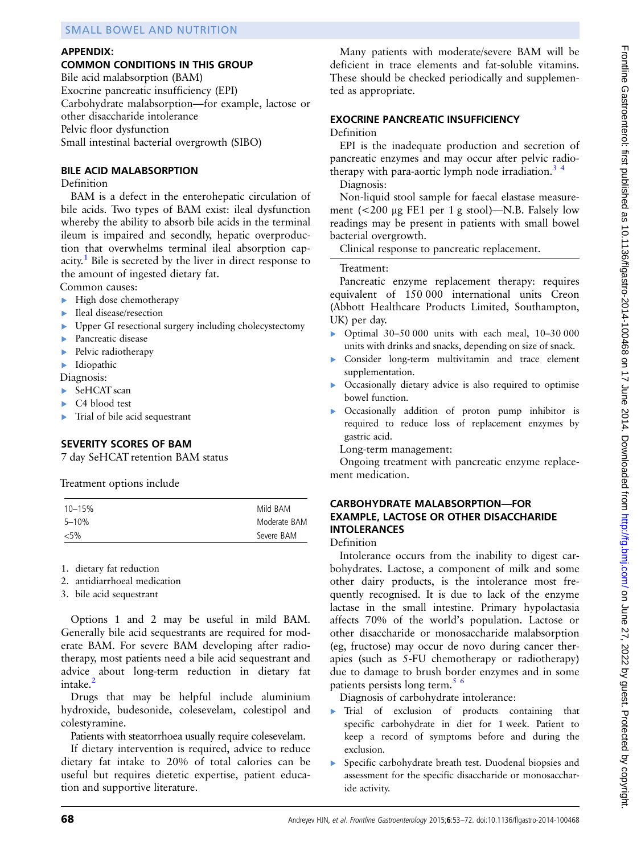# APPENDIX:

# COMMON CONDITIONS IN THIS GROUP

Bile acid malabsorption (BAM) Exocrine pancreatic insufficiency (EPI) Carbohydrate malabsorption—for example, lactose or other disaccharide intolerance Pelvic floor dysfunction Small intestinal bacterial overgrowth (SIBO)

#### BILE ACID MALABSORPTION

#### Definition

BAM is a defect in the enterohepatic circulation of bile acids. Two types of BAM exist: ileal dysfunction whereby the ability to absorb bile acids in the terminal ileum is impaired and secondly, hepatic overproduction that overwhelms terminal ileal absorption cap-acity.<sup>[1](#page-13-0)</sup> Bile is secreted by the liver in direct response to the amount of ingested dietary fat.

Common causes:

- ▸ High dose chemotherapy
- Ileal disease/resection
- ▸ Upper GI resectional surgery including cholecystectomy
- ▶ Pancreatic disease
- ▶ Pelvic radiotherapy
- ▸ Idiopathic

Diagnosis:

- SeHCAT scan
- ▸ C4 blood test
- ▸ Trial of bile acid sequestrant

#### SEVERITY SCORES OF BAM

7 day SeHCAT retention BAM status

Treatment options include

| $10 - 15%$ | Mild BAM     |
|------------|--------------|
| 5-10%      | Moderate BAM |
| ${<}5\%$   | Severe BAM   |

1. dietary fat reduction

- 2. antidiarrhoeal medication
- 3. bile acid sequestrant

Options 1 and 2 may be useful in mild BAM. Generally bile acid sequestrants are required for moderate BAM. For severe BAM developing after radiotherapy, most patients need a bile acid sequestrant and advice about long-term reduction in dietary fat intake. $<sup>2</sup>$ </sup>

Drugs that may be helpful include aluminium hydroxide, budesonide, colesevelam, colestipol and colestyramine.

Patients with steatorrhoea usually require colesevelam.

If dietary intervention is required, advice to reduce dietary fat intake to 20% of total calories can be useful but requires dietetic expertise, patient education and supportive literature.

Many patients with moderate/severe BAM will be deficient in trace elements and fat-soluble vitamins. These should be checked periodically and supplemented as appropriate.

### EXOCRINE PANCREATIC INSUFFICIENCY

#### Definition

EPI is the inadequate production and secretion of pancreatic enzymes and may occur after pelvic radiotherapy with para-aortic lymph node irradiation.<sup>3</sup> <sup>4</sup>

Diagnosis:

Non-liquid stool sample for faecal elastase measurement (<200 μg FE1 per 1 g stool)—N.B. Falsely low readings may be present in patients with small bowel bacterial overgrowth.

Clinical response to pancreatic replacement.

#### Treatment:

Pancreatic enzyme replacement therapy: requires equivalent of 150 000 international units Creon (Abbott Healthcare Products Limited, Southampton, UK) per day.

- ▸ Optimal 30–50 000 units with each meal, 10–30 000 units with drinks and snacks, depending on size of snack.
- Consider long-term multivitamin and trace element supplementation.
- ▶ Occasionally dietary advice is also required to optimise bowel function.
- ▸ Occasionally addition of proton pump inhibitor is required to reduce loss of replacement enzymes by gastric acid.

Long-term management:

Ongoing treatment with pancreatic enzyme replacement medication.

#### CARBOHYDRATE MALABSORPTION—FOR EXAMPLE, LACTOSE OR OTHER DISACCHARIDE INTOLERANCES

Definition

Intolerance occurs from the inability to digest carbohydrates. Lactose, a component of milk and some other dairy products, is the intolerance most frequently recognised. It is due to lack of the enzyme lactase in the small intestine. Primary hypolactasia affects 70% of the world's population. Lactose or other disaccharide or monosaccharide malabsorption (eg, fructose) may occur de novo during cancer therapies (such as 5-FU chemotherapy or radiotherapy) due to damage to brush border enzymes and in some patients persists long term.<sup>[5 6](#page-14-0)</sup>

Diagnosis of carbohydrate intolerance:

- ▸ Trial of exclusion of products containing that specific carbohydrate in diet for 1 week. Patient to keep a record of symptoms before and during the exclusion.
- Specific carbohydrate breath test. Duodenal biopsies and assessment for the specific disaccharide or monosaccharide activity.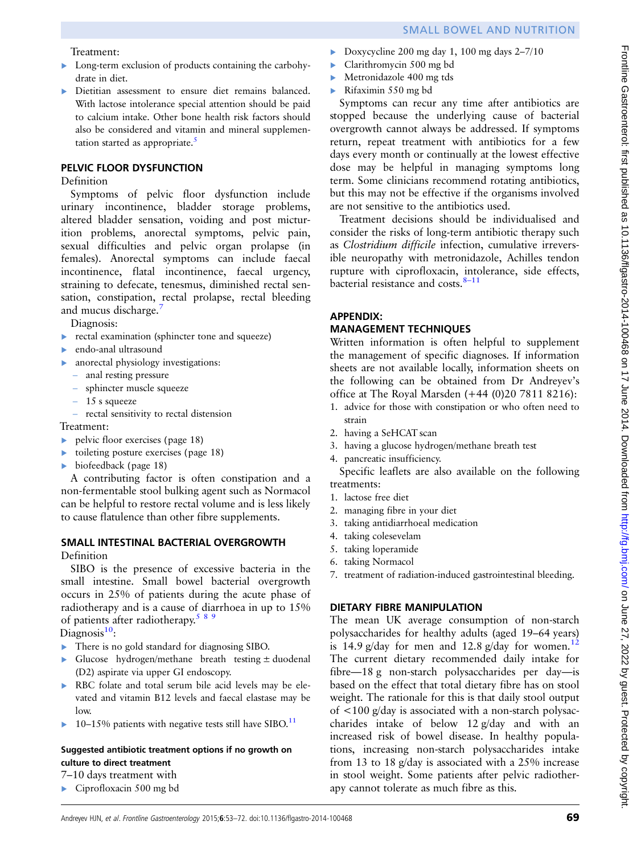#### Treatment:

- ▸ Long-term exclusion of products containing the carbohydrate in diet.
- ▸ Dietitian assessment to ensure diet remains balanced. With lactose intolerance special attention should be paid to calcium intake. Other bone health risk factors should also be considered and vitamin and mineral supplementation started as appropriate. $\frac{5}{5}$  $\frac{5}{5}$  $\frac{5}{5}$

#### PELVIC FLOOR DYSFUNCTION

#### Definition

Symptoms of pelvic floor dysfunction include urinary incontinence, bladder storage problems, altered bladder sensation, voiding and post micturition problems, anorectal symptoms, pelvic pain, sexual difficulties and pelvic organ prolapse (in females). Anorectal symptoms can include faecal incontinence, flatal incontinence, faecal urgency, straining to defecate, tenesmus, diminished rectal sensation, constipation, rectal prolapse, rectal bleeding and mucus discharge.<sup>[7](#page-14-0)</sup>

Diagnosis:

- ▶ rectal examination (sphincter tone and squeeze)
- ▸ endo-anal ultrasound
- ▸ anorectal physiology investigations:
	- anal resting pressure
	- sphincter muscle squeeze
	- 15 s squeeze
	- rectal sensitivity to rectal distension

Treatment:

- ▸ pelvic floor exercises (page 18)
- $\triangleright$  toileting posture exercises (page 18)
- $\blacktriangleright$  biofeedback (page 18)

A contributing factor is often constipation and a non-fermentable stool bulking agent such as Normacol can be helpful to restore rectal volume and is less likely to cause flatulence than other fibre supplements.

# SMALL INTESTINAL BACTERIAL OVERGROWTH

Definition

SIBO is the presence of excessive bacteria in the small intestine. Small bowel bacterial overgrowth occurs in 25% of patients during the acute phase of radiotherapy and is a cause of diarrhoea in up to 15% of patients after radiotherapy.<sup>[589](#page-14-0)</sup>

Diagnosis $10$ :

- ▸ There is no gold standard for diagnosing SIBO.
- ▸ Glucose hydrogen/methane breath testing ± duodenal (D2) aspirate via upper GI endoscopy.
- ▸ RBC folate and total serum bile acid levels may be elevated and vitamin B12 levels and faecal elastase may be low.
- $\blacktriangleright$  10–15% patients with negative tests still have SIBO.<sup>[11](#page-14-0)</sup>

#### Suggested antibiotic treatment options if no growth on culture to direct treatment

7–10 days treatment with

▸ Ciprofloxacin 500 mg bd

- $\triangleright$  Doxycycline 200 mg day 1, 100 mg days 2–7/10
- ▸ Clarithromycin 500 mg bd
- ▸ Metronidazole 400 mg tds
- ▸ Rifaximin 550 mg bd

Symptoms can recur any time after antibiotics are stopped because the underlying cause of bacterial overgrowth cannot always be addressed. If symptoms return, repeat treatment with antibiotics for a few days every month or continually at the lowest effective dose may be helpful in managing symptoms long term. Some clinicians recommend rotating antibiotics, but this may not be effective if the organisms involved are not sensitive to the antibiotics used.

Treatment decisions should be individualised and consider the risks of long-term antibiotic therapy such as Clostridium difficile infection, cumulative irreversible neuropathy with metronidazole, Achilles tendon rupture with ciprofloxacin, intolerance, side effects, bacterial resistance and costs. $8-11$  $8-11$ 

# APPENDIX:

# MANAGEMENT TECHNIQUES

Written information is often helpful to supplement the management of specific diagnoses. If information sheets are not available locally, information sheets on the following can be obtained from Dr Andreyev's office at The Royal Marsden (+44 (0)20 7811 8216):

- 1. advice for those with constipation or who often need to strain
- 2. having a SeHCAT scan
- 3. having a glucose hydrogen/methane breath test
- 4. pancreatic insufficiency.

Specific leaflets are also available on the following treatments:

- 1. lactose free diet
- 2. managing fibre in your diet
- 3. taking antidiarrhoeal medication
- 4. taking colesevelam
- 5. taking loperamide
- 6. taking Normacol
- 7. treatment of radiation-induced gastrointestinal bleeding.

# DIETARY FIBRE MANIPULATION

The mean UK average consumption of non-starch polysaccharides for healthy adults (aged 19–64 years) is 14.9 g/day for men and [12](#page-14-0).8 g/day for women.<sup>12</sup> The current dietary recommended daily intake for fibre—18 g non-starch polysaccharides per day—is based on the effect that total dietary fibre has on stool weight. The rationale for this is that daily stool output of <100 g/day is associated with a non-starch polysaccharides intake of below 12 g/day and with an increased risk of bowel disease. In healthy populations, increasing non-starch polysaccharides intake from 13 to 18 g/day is associated with a 25% increase in stool weight. Some patients after pelvic radiotherapy cannot tolerate as much fibre as this.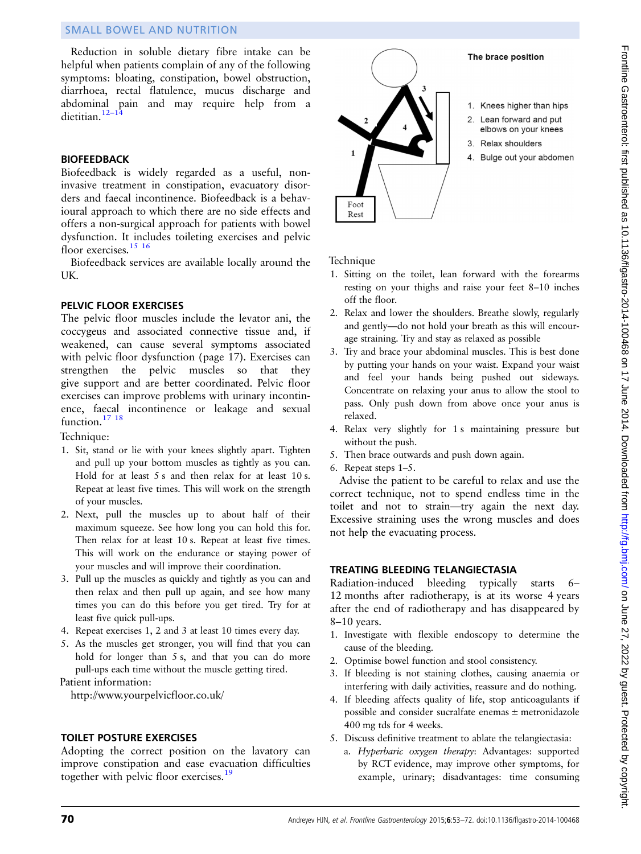Reduction in soluble dietary fibre intake can be helpful when patients complain of any of the following symptoms: bloating, constipation, bowel obstruction, diarrhoea, rectal flatulence, mucus discharge and abdominal pain and may require help from a dietitian.<sup>[12](#page-14-0)–14</sup>

#### BIOFEEDBACK

Biofeedback is widely regarded as a useful, noninvasive treatment in constipation, evacuatory disorders and faecal incontinence. Biofeedback is a behavioural approach to which there are no side effects and offers a non-surgical approach for patients with bowel dysfunction. It includes toileting exercises and pelvic floor exercises.<sup>15</sup> <sup>16</sup>

Biofeedback services are available locally around the UK.

#### PELVIC FLOOR EXERCISES

The pelvic floor muscles include the levator ani, the coccygeus and associated connective tissue and, if weakened, can cause several symptoms associated with pelvic floor dysfunction (page 17). Exercises can strengthen the pelvic muscles so that they give support and are better coordinated. Pelvic floor exercises can improve problems with urinary incontinence, faecal incontinence or leakage and sexual function.<sup>17</sup> <sup>18</sup>

Technique:

- 1. Sit, stand or lie with your knees slightly apart. Tighten and pull up your bottom muscles as tightly as you can. Hold for at least 5 s and then relax for at least 10 s. Repeat at least five times. This will work on the strength of your muscles.
- 2. Next, pull the muscles up to about half of their maximum squeeze. See how long you can hold this for. Then relax for at least 10 s. Repeat at least five times. This will work on the endurance or staying power of your muscles and will improve their coordination.
- 3. Pull up the muscles as quickly and tightly as you can and then relax and then pull up again, and see how many times you can do this before you get tired. Try for at least five quick pull-ups.
- 4. Repeat exercises 1, 2 and 3 at least 10 times every day.
- 5. As the muscles get stronger, you will find that you can hold for longer than 5 s, and that you can do more pull-ups each time without the muscle getting tired. Patient information:

<http://www.yourpelvicfloor.co.uk/>

#### TOILET POSTURE EXERCISES

Adopting the correct position on the lavatory can improve constipation and ease evacuation difficulties together with pelvic floor exercises.<sup>[19](#page-14-0)</sup>



- Lean forward and put
- elbows on your knees
- 
- 4. Bulge out your abdomen

#### Technique

- 1. Sitting on the toilet, lean forward with the forearms resting on your thighs and raise your feet 8–10 inches off the floor.
- 2. Relax and lower the shoulders. Breathe slowly, regularly and gently—do not hold your breath as this will encourage straining. Try and stay as relaxed as possible
- 3. Try and brace your abdominal muscles. This is best done by putting your hands on your waist. Expand your waist and feel your hands being pushed out sideways. Concentrate on relaxing your anus to allow the stool to pass. Only push down from above once your anus is relaxed.
- 4. Relax very slightly for 1 s maintaining pressure but without the push.
- 5. Then brace outwards and push down again.
- 6. Repeat steps 1–5.

Advise the patient to be careful to relax and use the correct technique, not to spend endless time in the toilet and not to strain—try again the next day. Excessive straining uses the wrong muscles and does not help the evacuating process.

#### TREATING BLEEDING TELANGIECTASIA

Radiation-induced bleeding typically starts 6– 12 months after radiotherapy, is at its worse 4 years after the end of radiotherapy and has disappeared by 8–10 years.

- 1. Investigate with flexible endoscopy to determine the cause of the bleeding.
- 2. Optimise bowel function and stool consistency.
- 3. If bleeding is not staining clothes, causing anaemia or interfering with daily activities, reassure and do nothing.
- 4. If bleeding affects quality of life, stop anticoagulants if possible and consider sucralfate enemas ± metronidazole 400 mg tds for 4 weeks.
- 5. Discuss definitive treatment to ablate the telangiectasia:
	- a. Hyperbaric oxygen therapy: Advantages: supported by RCT evidence, may improve other symptoms, for example, urinary; disadvantages: time consuming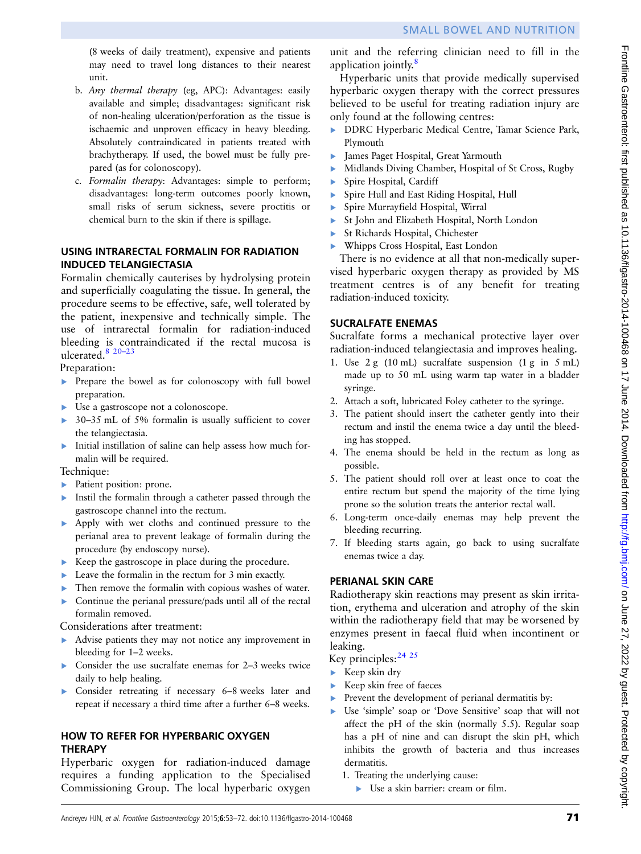(8 weeks of daily treatment), expensive and patients may need to travel long distances to their nearest unit.

- b. Any thermal therapy (eg, APC): Advantages: easily available and simple; disadvantages: significant risk of non-healing ulceration/perforation as the tissue is ischaemic and unproven efficacy in heavy bleeding. Absolutely contraindicated in patients treated with brachytherapy. If used, the bowel must be fully prepared (as for colonoscopy).
- c. Formalin therapy: Advantages: simple to perform; disadvantages: long-term outcomes poorly known, small risks of serum sickness, severe proctitis or chemical burn to the skin if there is spillage.

#### USING INTRARECTAL FORMALIN FOR RADIATION INDUCED TELANGIECTASIA

Formalin chemically cauterises by hydrolysing protein and superficially coagulating the tissue. In general, the procedure seems to be effective, safe, well tolerated by the patient, inexpensive and technically simple. The use of intrarectal formalin for radiation-induced bleeding is contraindicated if the rectal mucosa is ulcerated. $8^{20-23}$ 

Preparation:

- ▸ Prepare the bowel as for colonoscopy with full bowel preparation.
- ▸ Use a gastroscope not a colonoscope.
- ▸ 30–35 mL of 5% formalin is usually sufficient to cover the telangiectasia.
- ▸ Initial instillation of saline can help assess how much formalin will be required.

Technique:

- ▶ Patient position: prone.
- ▸ Instil the formalin through a catheter passed through the gastroscope channel into the rectum.
- ▸ Apply with wet cloths and continued pressure to the perianal area to prevent leakage of formalin during the procedure (by endoscopy nurse).
- ▸ Keep the gastroscope in place during the procedure.
- ▸ Leave the formalin in the rectum for 3 min exactly.
- ▶ Then remove the formalin with copious washes of water.
- ▸ Continue the perianal pressure/pads until all of the rectal formalin removed.

Considerations after treatment:

- ▸ Advise patients they may not notice any improvement in bleeding for 1–2 weeks.
- ▸ Consider the use sucralfate enemas for 2–3 weeks twice daily to help healing.
- ▸ Consider retreating if necessary 6–8 weeks later and repeat if necessary a third time after a further 6–8 weeks.

# HOW TO REFER FOR HYPERBARIC OXYGEN **THERAPY**

Hyperbaric oxygen for radiation-induced damage requires a funding application to the Specialised Commissioning Group. The local hyperbaric oxygen

unit and the referring clinician need to fill in the application jointly.<sup>[8](#page-14-0)</sup>

Hyperbaric units that provide medically supervised hyperbaric oxygen therapy with the correct pressures believed to be useful for treating radiation injury are only found at the following centres:

- ▶ DDRC Hyperbaric Medical Centre, Tamar Science Park, Plymouth
- ▸ James Paget Hospital, Great Yarmouth
- ▸ Midlands Diving Chamber, Hospital of St Cross, Rugby
- Spire Hospital, Cardiff
- ▶ Spire Hull and East Riding Hospital, Hull
- Spire Murrayfield Hospital, Wirral
- ▶ St John and Elizabeth Hospital, North London
- ▶ St Richards Hospital, Chichester
- Whipps Cross Hospital, East London

There is no evidence at all that non-medically supervised hyperbaric oxygen therapy as provided by MS treatment centres is of any benefit for treating radiation-induced toxicity.

# SUCRALFATE ENEMAS

Sucralfate forms a mechanical protective layer over radiation-induced telangiectasia and improves healing.

- 1. Use 2 g (10 mL) sucralfate suspension (1 g in 5 mL) made up to 50 mL using warm tap water in a bladder syringe.
- 2. Attach a soft, lubricated Foley catheter to the syringe.
- 3. The patient should insert the catheter gently into their rectum and instil the enema twice a day until the bleeding has stopped.
- 4. The enema should be held in the rectum as long as possible.
- 5. The patient should roll over at least once to coat the entire rectum but spend the majority of the time lying prone so the solution treats the anterior rectal wall.
- 6. Long-term once-daily enemas may help prevent the bleeding recurring.
- 7. If bleeding starts again, go back to using sucralfate enemas twice a day.

# PERIANAL SKIN CARE

Radiotherapy skin reactions may present as skin irritation, erythema and ulceration and atrophy of the skin within the radiotherapy field that may be worsened by enzymes present in faecal fluid when incontinent or leaking.

Key principles: [24 25](#page-14-0)

- ▸ Keep skin dry
- Keep skin free of faeces
- ▶ Prevent the development of perianal dermatitis by:
- Use 'simple' soap or 'Dove Sensitive' soap that will not affect the pH of the skin (normally 5.5). Regular soap has a pH of nine and can disrupt the skin pH, which inhibits the growth of bacteria and thus increases dermatitis.
	- 1. Treating the underlying cause:
		- ▸ Use a skin barrier: cream or film.